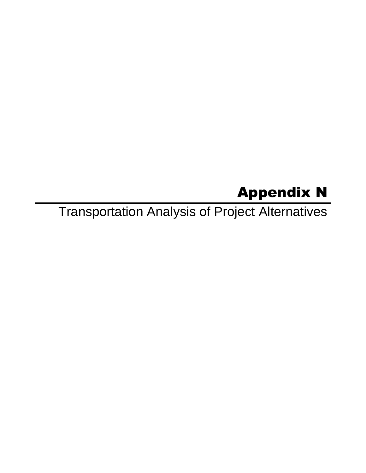# Appendix N

Transportation Analysis of Project Alternatives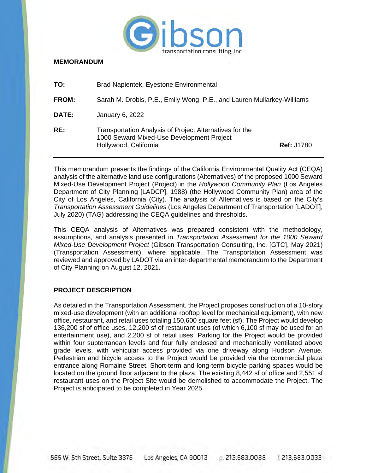

#### **MEMORANDUM**

| TO:          | Brad Napientek, Eyestone Environmental                                                                                        |                   |
|--------------|-------------------------------------------------------------------------------------------------------------------------------|-------------------|
| <b>FROM:</b> | Sarah M. Drobis, P.E., Emily Wong, P.E., and Lauren Mullarkey-Williams                                                        |                   |
| DATE:        | January 6, 2022                                                                                                               |                   |
| RE:          | Transportation Analysis of Project Alternatives for the<br>1000 Seward Mixed-Use Development Project<br>Hollywood, California | <b>Ref: J1780</b> |

This memorandum presents the findings of the California Environmental Quality Act (CEQA) analysis of the alternative land use configurations (Alternatives) of the proposed 1000 Seward Mixed-Use Development Project (Project) in the *Hollywood Community Plan* (Los Angeles Department of City Planning [LADCP], 1988) (the Hollywood Community Plan) area of the City of Los Angeles, California (City). The analysis of Alternatives is based on the City's *Transportation Assessment Guidelines* (Los Angeles Department of Transportation [LADOT], July 2020) (TAG) addressing the CEQA guidelines and thresholds.

This CEQA analysis of Alternatives was prepared consistent with the methodology, assumptions, and analysis presented in *Transportation Assessment for the 1000 Seward Mixed-Use Development Project* (Gibson Transportation Consulting, Inc. [GTC], May 2021) (Transportation Assessment), where applicable. The Transportation Assessment was reviewed and approved by LADOT via an inter-departmental memorandum to the Department of City Planning on August 12, 2021*.*

## **PROJECT DESCRIPTION**

As detailed in the Transportation Assessment, the Project proposes construction of a 10-story mixed-use development (with an additional rooftop level for mechanical equipment), with new office, restaurant, and retail uses totaling 150,600 square feet (sf). The Project would develop 136,200 sf of office uses, 12,200 sf of restaurant uses (of which 6,100 sf may be used for an entertainment use), and 2,200 sf of retail uses. Parking for the Project would be provided within four subterranean levels and four fully enclosed and mechanically ventilated above grade levels, with vehicular access provided via one driveway along Hudson Avenue. Pedestrian and bicycle access to the Project would be provided via the commercial plaza entrance along Romaine Street. Short-term and long-term bicycle parking spaces would be located on the ground floor adjacent to the plaza. The existing 8,442 sf of office and 2,551 sf restaurant uses on the Project Site would be demolished to accommodate the Project. The Project is anticipated to be completed in Year 2025.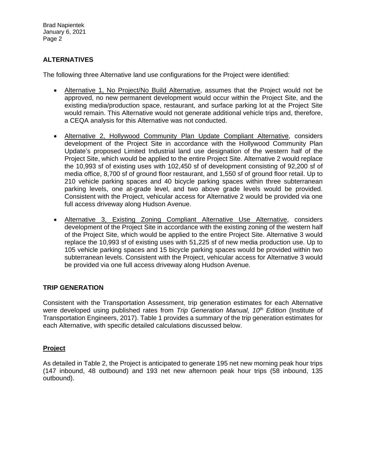## **ALTERNATIVES**

The following three Alternative land use configurations for the Project were identified:

- Alternative 1, No Project/No Build Alternative, assumes that the Project would not be approved, no new permanent development would occur within the Project Site, and the existing media/production space, restaurant, and surface parking lot at the Project Site would remain. This Alternative would not generate additional vehicle trips and, therefore, a CEQA analysis for this Alternative was not conducted.
- Alternative 2, Hollywood Community Plan Update Compliant Alternative, considers development of the Project Site in accordance with the Hollywood Community Plan Update's proposed Limited Industrial land use designation of the western half of the Project Site, which would be applied to the entire Project Site. Alternative 2 would replace the 10,993 sf of existing uses with 102,450 sf of development consisting of 92,200 sf of media office, 8,700 sf of ground floor restaurant, and 1,550 sf of ground floor retail. Up to 210 vehicle parking spaces and 40 bicycle parking spaces within three subterranean parking levels, one at-grade level, and two above grade levels would be provided. Consistent with the Project, vehicular access for Alternative 2 would be provided via one full access driveway along Hudson Avenue.
- Alternative 3, Existing Zoning Compliant Alternative Use Alternative, considers development of the Project Site in accordance with the existing zoning of the western half of the Project Site, which would be applied to the entire Project Site. Alternative 3 would replace the 10,993 sf of existing uses with 51,225 sf of new media production use. Up to 105 vehicle parking spaces and 15 bicycle parking spaces would be provided within two subterranean levels. Consistent with the Project, vehicular access for Alternative 3 would be provided via one full access driveway along Hudson Avenue.

## **TRIP GENERATION**

Consistent with the Transportation Assessment, trip generation estimates for each Alternative were developed using published rates from *Trip Generation Manual, 10th Edition* (Institute of Transportation Engineers, 2017). Table 1 provides a summary of the trip generation estimates for each Alternative, with specific detailed calculations discussed below.

## **Project**

As detailed in Table 2, the Project is anticipated to generate 195 net new morning peak hour trips (147 inbound, 48 outbound) and 193 net new afternoon peak hour trips (58 inbound, 135 outbound).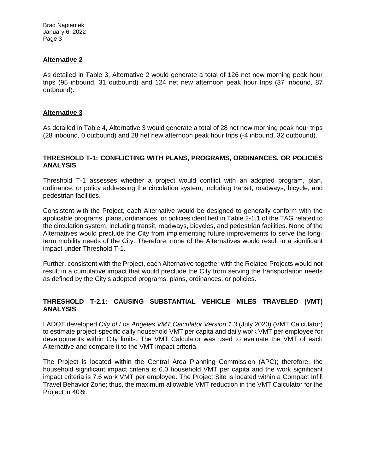### **Alternative 2**

As detailed in Table 3, Alternative 2 would generate a total of 126 net new morning peak hour trips (95 inbound, 31 outbound) and 124 net new afternoon peak hour trips (37 inbound, 87 outbound).

### **Alternative 3**

As detailed in Table 4, Alternative 3 would generate a total of 28 net new morning peak hour trips (28 inbound, 0 outbound) and 28 net new afternoon peak hour trips (-4 inbound, 32 outbound).

### **THRESHOLD T-1: CONFLICTING WITH PLANS, PROGRAMS, ORDINANCES, OR POLICIES ANALYSIS**

Threshold T-1 assesses whether a project would conflict with an adopted program, plan, ordinance, or policy addressing the circulation system, including transit, roadways, bicycle, and pedestrian facilities.

Consistent with the Project, each Alternative would be designed to generally conform with the applicable programs, plans, ordinances, or policies identified in Table 2-1.1 of the TAG related to the circulation system, including transit, roadways, bicycles, and pedestrian facilities. None of the Alternatives would preclude the City from implementing future improvements to serve the longterm mobility needs of the City. Therefore, none of the Alternatives would result in a significant impact under Threshold T-1.

Further, consistent with the Project, each Alternative together with the Related Projects would not result in a cumulative impact that would preclude the City from serving the transportation needs as defined by the City's adopted programs, plans, ordinances, or policies.

## **THRESHOLD T-2.1: CAUSING SUBSTANTIAL VEHICLE MILES TRAVELED (VMT) ANALYSIS**

LADOT developed *City of Los Angeles VMT Calculator Version 1.3* (July 2020) (VMT Calculator) to estimate project-specific daily household VMT per capita and daily work VMT per employee for developments within City limits. The VMT Calculator was used to evaluate the VMT of each Alternative and compare it to the VMT impact criteria.

The Project is located within the Central Area Planning Commission (APC); therefore, the household significant impact criteria is 6.0 household VMT per capita and the work significant impact criteria is 7.6 work VMT per employee. The Project Site is located within a Compact Infill Travel Behavior Zone; thus, the maximum allowable VMT reduction in the VMT Calculator for the Project in 40%.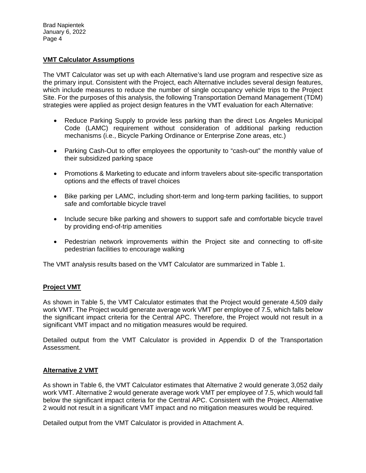### **VMT Calculator Assumptions**

The VMT Calculator was set up with each Alternative's land use program and respective size as the primary input. Consistent with the Project, each Alternative includes several design features, which include measures to reduce the number of single occupancy vehicle trips to the Project Site. For the purposes of this analysis, the following Transportation Demand Management (TDM) strategies were applied as project design features in the VMT evaluation for each Alternative:

- Reduce Parking Supply to provide less parking than the direct Los Angeles Municipal Code (LAMC) requirement without consideration of additional parking reduction mechanisms (i.e., Bicycle Parking Ordinance or Enterprise Zone areas, etc.)
- Parking Cash-Out to offer employees the opportunity to "cash-out" the monthly value of their subsidized parking space
- Promotions & Marketing to educate and inform travelers about site-specific transportation options and the effects of travel choices
- Bike parking per LAMC, including short-term and long-term parking facilities, to support safe and comfortable bicycle travel
- Include secure bike parking and showers to support safe and comfortable bicycle travel by providing end-of-trip amenities
- Pedestrian network improvements within the Project site and connecting to off-site pedestrian facilities to encourage walking

The VMT analysis results based on the VMT Calculator are summarized in Table 1.

## **Project VMT**

As shown in Table 5, the VMT Calculator estimates that the Project would generate 4,509 daily work VMT. The Project would generate average work VMT per employee of 7.5, which falls below the significant impact criteria for the Central APC. Therefore, the Project would not result in a significant VMT impact and no mitigation measures would be required.

Detailed output from the VMT Calculator is provided in Appendix D of the Transportation Assessment.

### **Alternative 2 VMT**

As shown in Table 6, the VMT Calculator estimates that Alternative 2 would generate 3,052 daily work VMT. Alternative 2 would generate average work VMT per employee of 7.5, which would fall below the significant impact criteria for the Central APC. Consistent with the Project, Alternative 2 would not result in a significant VMT impact and no mitigation measures would be required.

Detailed output from the VMT Calculator is provided in Attachment A.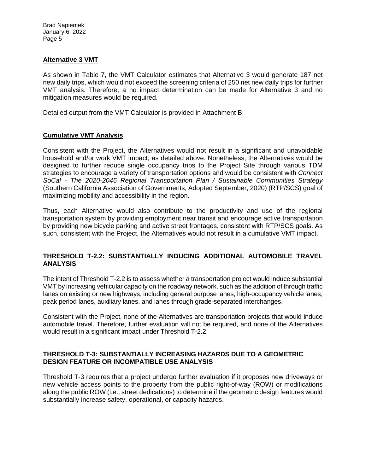### **Alternative 3 VMT**

As shown in Table 7, the VMT Calculator estimates that Alternative 3 would generate 187 net new daily trips, which would not exceed the screening criteria of 250 net new daily trips for further VMT analysis. Therefore, a no impact determination can be made for Alternative 3 and no mitigation measures would be required.

Detailed output from the VMT Calculator is provided in Attachment B.

### **Cumulative VMT Analysis**

Consistent with the Project, the Alternatives would not result in a significant and unavoidable household and/or work VMT impact, as detailed above. Nonetheless, the Alternatives would be designed to further reduce single occupancy trips to the Project Site through various TDM strategies to encourage a variety of transportation options and would be consistent with *Connect SoCal - The 2020-2045 Regional Transportation Plan / Sustainable Communities Strategy*  (Southern California Association of Governments, Adopted September, 2020) (RTP/SCS) goal of maximizing mobility and accessibility in the region.

Thus, each Alternative would also contribute to the productivity and use of the regional transportation system by providing employment near transit and encourage active transportation by providing new bicycle parking and active street frontages, consistent with RTP/SCS goals. As such, consistent with the Project, the Alternatives would not result in a cumulative VMT impact.

### **THRESHOLD T-2.2: SUBSTANTIALLY INDUCING ADDITIONAL AUTOMOBILE TRAVEL ANALYSIS**

The intent of Threshold T-2.2 is to assess whether a transportation project would induce substantial VMT by increasing vehicular capacity on the roadway network, such as the addition of through traffic lanes on existing or new highways, including general purpose lanes, high-occupancy vehicle lanes, peak period lanes, auxiliary lanes, and lanes through grade-separated interchanges.

Consistent with the Project, none of the Alternatives are transportation projects that would induce automobile travel. Therefore, further evaluation will not be required, and none of the Alternatives would result in a significant impact under Threshold T-2.2.

### **THRESHOLD T-3: SUBSTANTIALLY INCREASING HAZARDS DUE TO A GEOMETRIC DESIGN FEATURE OR INCOMPATIBLE USE ANALYSIS**

Threshold T-3 requires that a project undergo further evaluation if it proposes new driveways or new vehicle access points to the property from the public right-of-way (ROW) or modifications along the public ROW (i.e., street dedications) to determine if the geometric design features would substantially increase safety, operational, or capacity hazards.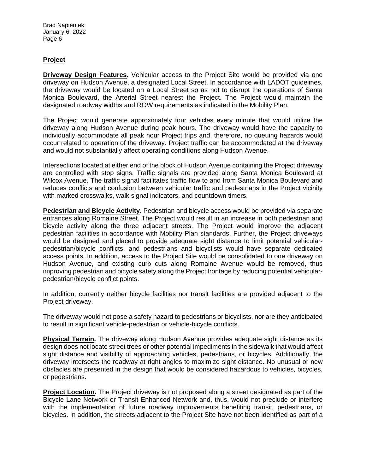## **Project**

**Driveway Design Features.** Vehicular access to the Project Site would be provided via one driveway on Hudson Avenue, a designated Local Street. In accordance with LADOT guidelines, the driveway would be located on a Local Street so as not to disrupt the operations of Santa Monica Boulevard, the Arterial Street nearest the Project. The Project would maintain the designated roadway widths and ROW requirements as indicated in the Mobility Plan.

The Project would generate approximately four vehicles every minute that would utilize the driveway along Hudson Avenue during peak hours. The driveway would have the capacity to individually accommodate all peak hour Project trips and, therefore, no queuing hazards would occur related to operation of the driveway. Project traffic can be accommodated at the driveway and would not substantially affect operating conditions along Hudson Avenue.

Intersections located at either end of the block of Hudson Avenue containing the Project driveway are controlled with stop signs. Traffic signals are provided along Santa Monica Boulevard at Wilcox Avenue. The traffic signal facilitates traffic flow to and from Santa Monica Boulevard and reduces conflicts and confusion between vehicular traffic and pedestrians in the Project vicinity with marked crosswalks, walk signal indicators, and countdown timers.

**Pedestrian and Bicycle Activity.** Pedestrian and bicycle access would be provided via separate entrances along Romaine Street. The Project would result in an increase in both pedestrian and bicycle activity along the three adjacent streets. The Project would improve the adjacent pedestrian facilities in accordance with Mobility Plan standards. Further, the Project driveways would be designed and placed to provide adequate sight distance to limit potential vehicularpedestrian/bicycle conflicts, and pedestrians and bicyclists would have separate dedicated access points. In addition, access to the Project Site would be consolidated to one driveway on Hudson Avenue, and existing curb cuts along Romaine Avenue would be removed, thus improving pedestrian and bicycle safety along the Project frontage by reducing potential vehicularpedestrian/bicycle conflict points.

In addition, currently neither bicycle facilities nor transit facilities are provided adjacent to the Project driveway.

The driveway would not pose a safety hazard to pedestrians or bicyclists, nor are they anticipated to result in significant vehicle-pedestrian or vehicle-bicycle conflicts.

**Physical Terrain.** The driveway along Hudson Avenue provides adequate sight distance as its design does not locate street trees or other potential impediments in the sidewalk that would affect sight distance and visibility of approaching vehicles, pedestrians, or bicycles. Additionally, the driveway intersects the roadway at right angles to maximize sight distance. No unusual or new obstacles are presented in the design that would be considered hazardous to vehicles, bicycles, or pedestrians.

**Project Location.** The Project driveway is not proposed along a street designated as part of the Bicycle Lane Network or Transit Enhanced Network and, thus, would not preclude or interfere with the implementation of future roadway improvements benefiting transit, pedestrians, or bicycles. In addition, the streets adjacent to the Project Site have not been identified as part of a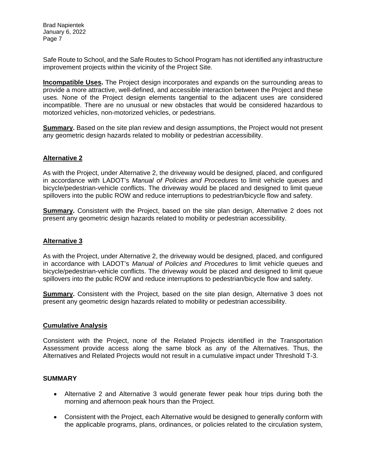Safe Route to School, and the Safe Routes to School Program has not identified any infrastructure improvement projects within the vicinity of the Project Site.

**Incompatible Uses.** The Project design incorporates and expands on the surrounding areas to provide a more attractive, well-defined, and accessible interaction between the Project and these uses. None of the Project design elements tangential to the adjacent uses are considered incompatible. There are no unusual or new obstacles that would be considered hazardous to motorized vehicles, non-motorized vehicles, or pedestrians.

**Summary.** Based on the site plan review and design assumptions, the Project would not present any geometric design hazards related to mobility or pedestrian accessibility.

### **Alternative 2**

As with the Project, under Alternative 2, the driveway would be designed, placed, and configured in accordance with LADOT's *Manual of Policies and Procedures* to limit vehicle queues and bicycle/pedestrian-vehicle conflicts. The driveway would be placed and designed to limit queue spillovers into the public ROW and reduce interruptions to pedestrian/bicycle flow and safety.

**Summary.** Consistent with the Project, based on the site plan design, Alternative 2 does not present any geometric design hazards related to mobility or pedestrian accessibility.

### **Alternative 3**

As with the Project, under Alternative 2, the driveway would be designed, placed, and configured in accordance with LADOT's *Manual of Policies and Procedures* to limit vehicle queues and bicycle/pedestrian-vehicle conflicts. The driveway would be placed and designed to limit queue spillovers into the public ROW and reduce interruptions to pedestrian/bicycle flow and safety.

**Summary.** Consistent with the Project, based on the site plan design, Alternative 3 does not present any geometric design hazards related to mobility or pedestrian accessibility.

### **Cumulative Analysis**

Consistent with the Project, none of the Related Projects identified in the Transportation Assessment provide access along the same block as any of the Alternatives. Thus, the Alternatives and Related Projects would not result in a cumulative impact under Threshold T-3.

## **SUMMARY**

- Alternative 2 and Alternative 3 would generate fewer peak hour trips during both the morning and afternoon peak hours than the Project.
- Consistent with the Project, each Alternative would be designed to generally conform with the applicable programs, plans, ordinances, or policies related to the circulation system,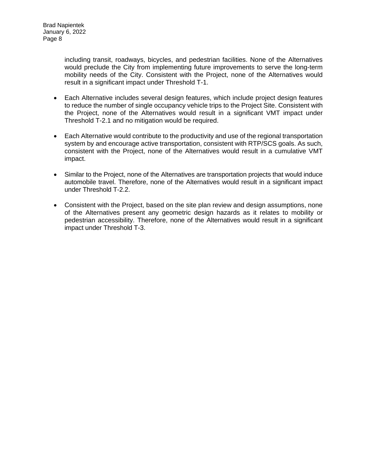including transit, roadways, bicycles, and pedestrian facilities. None of the Alternatives would preclude the City from implementing future improvements to serve the long-term mobility needs of the City. Consistent with the Project, none of the Alternatives would result in a significant impact under Threshold T-1.

- Each Alternative includes several design features, which include project design features to reduce the number of single occupancy vehicle trips to the Project Site. Consistent with the Project, none of the Alternatives would result in a significant VMT impact under Threshold T-2.1 and no mitigation would be required.
- Each Alternative would contribute to the productivity and use of the regional transportation system by and encourage active transportation, consistent with RTP/SCS goals. As such, consistent with the Project, none of the Alternatives would result in a cumulative VMT impact.
- Similar to the Project, none of the Alternatives are transportation projects that would induce automobile travel. Therefore, none of the Alternatives would result in a significant impact under Threshold T-2.2.
- Consistent with the Project, based on the site plan review and design assumptions, none of the Alternatives present any geometric design hazards as it relates to mobility or pedestrian accessibility. Therefore, none of the Alternatives would result in a significant impact under Threshold T-3.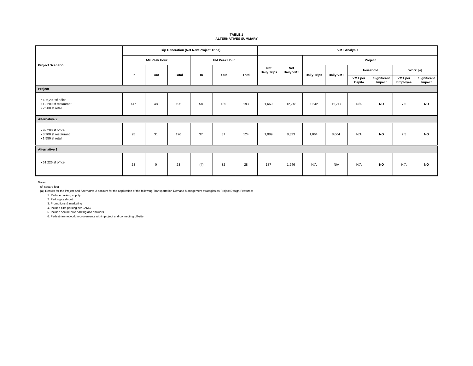| <b>TABLE 1</b>              |  |
|-----------------------------|--|
| <b>ALTERNATIVES SUMMARY</b> |  |

|                                                                              | <b>Trip Generation (Net New Project Trips)</b> |             |                     |       | <b>VMT Analysis</b> |       |                                  |                                |                    |           |                   |                       |                     |                       |
|------------------------------------------------------------------------------|------------------------------------------------|-------------|---------------------|-------|---------------------|-------|----------------------------------|--------------------------------|--------------------|-----------|-------------------|-----------------------|---------------------|-----------------------|
|                                                                              | <b>AM Peak Hour</b>                            |             | <b>PM Peak Hour</b> |       |                     |       | Project                          |                                |                    |           |                   |                       |                     |                       |
| <b>Project Scenario</b>                                                      | In                                             | Out         | Total               | $\ln$ | Out                 | Total | <b>Net</b><br><b>Daily Trips</b> | <b>Net</b><br><b>Daily VMT</b> | <b>Daily Trips</b> | Daily VMT | Household         |                       | Work [a]            |                       |
|                                                                              |                                                |             |                     |       |                     |       |                                  |                                |                    |           | VMT per<br>Capita | Significant<br>Impact | VMT per<br>Employee | Significant<br>Impact |
| Project                                                                      |                                                |             |                     |       |                     |       |                                  |                                |                    |           |                   |                       |                     |                       |
| • 136,200 sf office<br>• 12,200 sf restaurant<br>$\cdot$ 2,200 sf retail     | 147                                            | 48          | 195                 | 58    | 135                 | 193   | 1,669                            | 12,748                         | 1,542              | 11,717    | N/A               | <b>NO</b>             | 7.5                 | <b>NO</b>             |
| <b>Alternative 2</b>                                                         |                                                |             |                     |       |                     |       |                                  |                                |                    |           |                   |                       |                     |                       |
| $\cdot$ 92,200 sf office<br>• 8,700 sf restaurant<br>$\cdot$ 1,550 sf retail | 95                                             | 31          | 126                 | 37    | 87                  | 124   | 1,089                            | 8,323                          | 1,064              | 8,064     | N/A               | <b>NO</b>             | 7.5                 | <b>NO</b>             |
| Alternative 3                                                                |                                                |             |                     |       |                     |       |                                  |                                |                    |           |                   |                       |                     |                       |
| $\cdot$ 51,225 sf office                                                     | 28                                             | $\mathbf 0$ | 28                  | (4)   | 32                  | 28    | 187                              | 1,646                          | N/A                | N/A       | N/A               | <b>NO</b>             | N/A                 | <b>NO</b>             |

<u>Notes:</u><br>sf: square feet

[a] Results for the Project and Alternative 2 account for the application of the following Transportation Demand Management strategies as Project Design Features:

1. Reduce parking supply 2. Parking cash-out

3. Promotions & marketing

4. Include bike parking per LAMC

5. Include secure bike parking and showers 6. Pedestrian network improvements within project and connecting off-site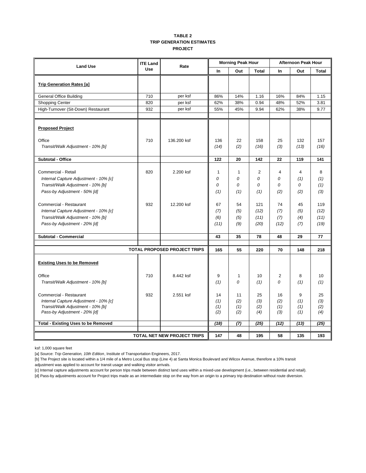#### **TABLE 2 TRIP GENERATION ESTIMATES PROJECT**

| <b>Land Use</b>                                                                                                                                              | <b>ITE Land</b><br>Rate |                                     |                          | <b>Morning Peak Hour</b>            |                                        | <b>Afternoon Peak Hour</b>            |                                         |                               |  |
|--------------------------------------------------------------------------------------------------------------------------------------------------------------|-------------------------|-------------------------------------|--------------------------|-------------------------------------|----------------------------------------|---------------------------------------|-----------------------------------------|-------------------------------|--|
|                                                                                                                                                              | <b>Use</b>              |                                     | <b>In</b>                | Out                                 | <b>Total</b>                           | In                                    | Out                                     | <b>Total</b>                  |  |
| <b>Trip Generation Rates [a]</b>                                                                                                                             |                         |                                     |                          |                                     |                                        |                                       |                                         |                               |  |
| <b>General Office Building</b>                                                                                                                               | 710                     | per ksf                             | 86%                      | 14%                                 | 1.16                                   | 16%                                   | 84%                                     | 1.15                          |  |
| <b>Shopping Center</b>                                                                                                                                       | 820                     | per ksf                             | 62%                      | 38%                                 | 0.94                                   | 48%                                   | 52%                                     | 3.81                          |  |
| High-Turnover (Sit-Down) Restaurant                                                                                                                          | 932                     | per ksf                             | 55%                      | 45%                                 | 9.94                                   | 62%                                   | 38%                                     | 9.77                          |  |
| <b>Proposed Project</b>                                                                                                                                      |                         |                                     |                          |                                     |                                        |                                       |                                         |                               |  |
| Office<br>Transit/Walk Adjustment - 10% [b]                                                                                                                  | 710                     | 136.200 ksf                         | 136<br>(14)              | 22<br>(2)                           | 158<br>(16)                            | 25<br>(3)                             | 132<br>(13)                             | 157<br>(16)                   |  |
| <b>Subtotal - Office</b>                                                                                                                                     |                         |                                     | 122                      | 20                                  | 142                                    | 22                                    | 119                                     | 141                           |  |
| Commercial - Retail<br>Internal Capture Adjustment - 10% [c]<br>Transit/Walk Adjustment - 10% [b]<br>Pass-by Adjustment - 50% [d]<br>Commercial - Restaurant | 820<br>932              | 2.200 ksf<br>12.200 ksf             | 1<br>0<br>0<br>(1)<br>67 | $\mathbf{1}$<br>0<br>0<br>(1)<br>54 | $\overline{2}$<br>0<br>0<br>(1)<br>121 | $\overline{4}$<br>0<br>0<br>(2)<br>74 | $\overline{4}$<br>(1)<br>0<br>(2)<br>45 | 8<br>(1)<br>(1)<br>(3)<br>119 |  |
| Internal Capture Adjustment - 10% [c]<br>Transit/Walk Adjustment - 10% [b]<br>Pass-by Adjustment - 20% [d]                                                   |                         |                                     | (7)<br>(6)<br>(11)       | (5)<br>(5)<br>(9)                   | (12)<br>(11)<br>(20)                   | (7)<br>(7)<br>(12)                    | (5)<br>(4)<br>(7)                       | (12)<br>(11)<br>(19)          |  |
| Subtotal - Commercial                                                                                                                                        |                         |                                     | 43                       | 35                                  | 78                                     | 48                                    | 29                                      | 77                            |  |
|                                                                                                                                                              |                         | <b>TOTAL PROPOSED PROJECT TRIPS</b> | 165                      | 55                                  | 220                                    | 70                                    | 148                                     | 218                           |  |
| <b>Existing Uses to be Removed</b>                                                                                                                           |                         |                                     |                          |                                     |                                        |                                       |                                         |                               |  |
| Office<br>Transit/Walk Adjustment - 10% [b]                                                                                                                  | 710                     | 8.442 ksf                           | 9<br>(1)                 | 1<br>0                              | 10<br>(1)                              | $\overline{2}$<br>0                   | 8<br>(1)                                | 10<br>(1)                     |  |
| Commercial - Restaurant<br>Internal Capture Adjustment - 10% [c]<br>Transit/Walk Adjustment - 10% [b]<br>Pass-by Adjustment - 20% [d]                        | 932                     | 2.551 ksf                           | 14<br>(1)<br>(1)<br>(2)  | 11<br>(2)<br>(1)<br>(2)             | 25<br>(3)<br>(2)<br>(4)                | 16<br>(2)<br>(1)<br>(3)               | 9<br>(1)<br>(1)<br>(1)                  | 25<br>(3)<br>(2)<br>(4)       |  |
| <b>Total - Existing Uses to be Removed</b>                                                                                                                   |                         |                                     | (18)                     | (7)                                 | (25)                                   | (12)                                  | (13)                                    | (25)                          |  |
|                                                                                                                                                              |                         | TOTAL NET NEW PROJECT TRIPS         | 147                      | 48                                  | 195                                    | 58                                    | 135                                     | 193                           |  |

ksf: 1,000 square feet

[a] Source: *Trip Generation, 10th Edition*, Institute of Transportation Engineers, 2017.

[b] The Project site is located within a 1/4 mile of a Metro Local Bus stop (Line 4) at Santa Monica Boulevard and Wilcox Avenue, therefore a 10% transit adjustment was applied to account for transit usage and walking visitor arrivals.

[c] Internal capture adjustments account for person trips made between distinct land uses within a mixed-use development (i.e., between residential and retail). [d] Pass-by adjustments account for Project trips made as an intermediate stop on the way from an origin to a primary trip destination without route diversion.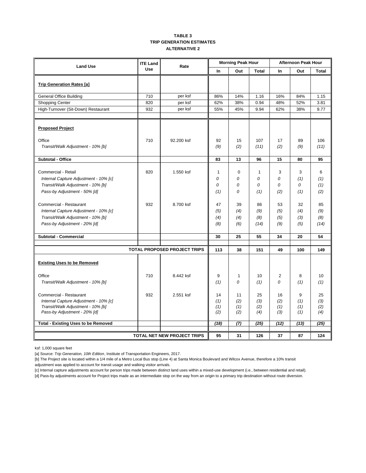#### **TABLE 3 TRIP GENERATION ESTIMATES ALTERNATIVE 2**

| <b>Land Use</b>                                                   | <b>ITE Land</b> | Rate                                |            | <b>Morning Peak Hour</b> |              | <b>Afternoon Peak Hour</b> |            |              |  |
|-------------------------------------------------------------------|-----------------|-------------------------------------|------------|--------------------------|--------------|----------------------------|------------|--------------|--|
|                                                                   | <b>Use</b>      |                                     | In         | Out                      | <b>Total</b> | In                         | Out        | <b>Total</b> |  |
| <b>Trip Generation Rates [a]</b>                                  |                 |                                     |            |                          |              |                            |            |              |  |
|                                                                   |                 |                                     |            |                          |              |                            |            |              |  |
| <b>General Office Building</b>                                    | 710             | per ksf                             | 86%        | 14%                      | 1.16         | 16%                        | 84%        | 1.15         |  |
| <b>Shopping Center</b>                                            | 820             | per ksf                             | 62%        | 38%                      | 0.94         | 48%                        | 52%        | 3.81         |  |
| High-Turnover (Sit-Down) Restaurant                               | 932             | per ksf                             | 55%        | 45%                      | 9.94         | 62%                        | 38%        | 9.77         |  |
| <b>Proposed Project</b>                                           |                 |                                     |            |                          |              |                            |            |              |  |
| Office                                                            | 710             | 92.200 ksf                          | 92         | 15                       | 107          | 17                         | 89         | 106          |  |
| Transit/Walk Adjustment - 10% [b]                                 |                 |                                     | (9)        | (2)                      | (11)         | (2)                        | (9)        | (11)         |  |
| <b>Subtotal - Office</b>                                          |                 |                                     | 83         | 13                       | 96           | 15                         | 80         | 95           |  |
| Commercial - Retail                                               | 820             | 1.550 ksf                           | 1          | $\mathbf 0$              | 1            | 3                          | 3          | 6            |  |
| Internal Capture Adjustment - 10% [c]                             |                 |                                     | 0          | 0                        | 0            | 0                          | (1)        | (1)          |  |
| Transit/Walk Adjustment - 10% [b]                                 |                 |                                     | 0          | 0                        | 0            | 0                          | 0          | (1)          |  |
| Pass-by Adjustment - 50% [d]                                      |                 |                                     | (1)        | $\Omega$                 | (1)          | (2)                        | (1)        | (2)          |  |
| Commercial - Restaurant                                           | 932             | 8.700 ksf                           | 47         | 39                       | 86           | 53                         | 32         | 85           |  |
| Internal Capture Adjustment - 10% [c]                             |                 |                                     | (5)        | (4)                      | (9)          | (5)                        | (4)        | (9)          |  |
| Transit/Walk Adjustment - 10% [b]                                 |                 |                                     | (4)        | (4)                      | (8)          | (5)                        | (3)        | (8)          |  |
| Pass-by Adjustment - 20% [d]                                      |                 |                                     | (8)        | (6)                      | (14)         | (9)                        | (5)        | (14)         |  |
| Subtotal - Commercial                                             |                 |                                     | 30         | 25                       | 55           | 34                         | 20         | 54           |  |
|                                                                   |                 | <b>TOTAL PROPOSED PROJECT TRIPS</b> | 113        | 38                       | 151          | 49                         | 100        | 149          |  |
|                                                                   |                 |                                     |            |                          |              |                            |            |              |  |
| <b>Existing Uses to be Removed</b>                                |                 |                                     |            |                          |              |                            |            |              |  |
| Office                                                            | 710             | 8.442 ksf                           | 9          | 1                        | 10           | 2                          | 8          | 10           |  |
| Transit/Walk Adjustment - 10% [b]                                 |                 |                                     | (1)        | $\Omega$                 | (1)          | 0                          | (1)        | (1)          |  |
| Commercial - Restaurant                                           | 932             | 2.551 ksf                           | 14         | 11                       | 25           | 16                         | 9          | 25           |  |
| Internal Capture Adjustment - 10% [c]                             |                 |                                     | (1)        | (2)                      | (3)          | (2)                        | (1)        | (3)          |  |
| Transit/Walk Adjustment - 10% [b]<br>Pass-by Adjustment - 20% [d] |                 |                                     | (1)<br>(2) | (1)<br>(2)               | (2)<br>(4)   | (1)<br>(3)                 | (1)<br>(1) | (2)<br>(4)   |  |
| <b>Total - Existing Uses to be Removed</b>                        |                 |                                     | (18)       | (7)                      | (25)         | (12)                       | (13)       | (25)         |  |
|                                                                   |                 |                                     |            |                          |              |                            |            |              |  |
| TOTAL NET NEW PROJECT TRIPS                                       |                 | 95                                  | 31         | 126                      | 37           | 87                         | 124        |              |  |

ksf: 1,000 square feet

[a] Source: *Trip Generation, 10th Edition*, Institute of Transportation Engineers, 2017.

[b] The Project site is located within a 1/4 mile of a Metro Local Bus stop (Line 4) at Santa Monica Boulevard and Wilcox Avenue, therefore a 10% transit adjustment was applied to account for transit usage and walking visitor arrivals.

[c] Internal capture adjustments account for person trips made between distinct land uses within a mixed-use development (i.e., between residential and retail). [d] Pass-by adjustments account for Project trips made as an intermediate stop on the way from an origin to a primary trip destination without route diversion.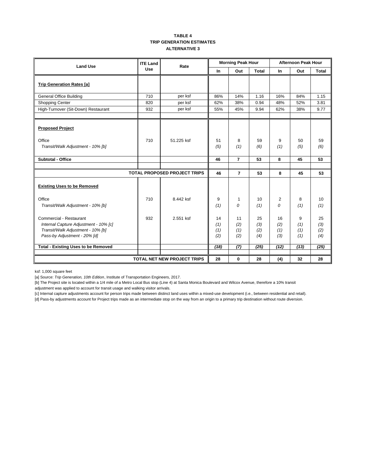#### **TABLE 4 TRIP GENERATION ESTIMATES ALTERNATIVE 3**

| <b>Land Use</b>                                                                                                                       | <b>ITE Land</b> | Rate                               |                         | <b>Morning Peak Hour</b> |                         | <b>Afternoon Peak Hour</b> |                        |                         |  |
|---------------------------------------------------------------------------------------------------------------------------------------|-----------------|------------------------------------|-------------------------|--------------------------|-------------------------|----------------------------|------------------------|-------------------------|--|
|                                                                                                                                       | <b>Use</b>      |                                    | In                      | Out                      | <b>Total</b>            | <b>In</b>                  | Out                    | Total                   |  |
| <b>Trip Generation Rates [a]</b>                                                                                                      |                 |                                    |                         |                          |                         |                            |                        |                         |  |
| <b>General Office Building</b>                                                                                                        | 710             | per ksf                            | 86%                     | 14%                      | 1.16                    | 16%                        | 84%                    | 1.15                    |  |
| Shopping Center                                                                                                                       | 820             | per ksf                            | 62%                     | 38%                      | 0.94                    | 48%                        | 52%                    | 3.81                    |  |
| High-Turnover (Sit-Down) Restaurant                                                                                                   | 932             | per ksf                            | 55%                     | 45%                      | 9.94                    | 62%                        | 38%                    | 9.77                    |  |
| <b>Proposed Project</b><br>Office<br>Transit/Walk Adjustment - 10% [b]                                                                | 710             | 51.225 ksf                         | 51<br>(5)               | 8<br>(1)                 | 59<br>(6)               | 9<br>(1)                   | 50<br>(5)              | 59<br>(6)               |  |
| <b>Subtotal - Office</b>                                                                                                              |                 |                                    | 46                      | $\overline{7}$           | 53                      | 8                          | 45                     | 53                      |  |
|                                                                                                                                       |                 |                                    |                         |                          |                         |                            |                        |                         |  |
|                                                                                                                                       |                 | TOTAL PROPOSED PROJECT TRIPS       | 46                      | $\overline{7}$           | 53                      | 8                          | 45                     | 53                      |  |
| <b>Existing Uses to be Removed</b>                                                                                                    |                 |                                    |                         |                          |                         |                            |                        |                         |  |
| Office                                                                                                                                | 710             | 8.442 ksf                          | 9                       | 1                        | 10                      | 2                          | 8                      | 10                      |  |
| Transit/Walk Adjustment - 10% [b]                                                                                                     |                 |                                    | (1)                     | 0                        | (1)                     | 0                          | (1)                    | (1)                     |  |
| Commercial - Restaurant<br>Internal Capture Adjustment - 10% [c]<br>Transit/Walk Adjustment - 10% [b]<br>Pass-by Adjustment - 20% [d] | 932             | 2.551 ksf                          | 14<br>(1)<br>(1)<br>(2) | 11<br>(2)<br>(1)<br>(2)  | 25<br>(3)<br>(2)<br>(4) | 16<br>(2)<br>(1)<br>(3)    | 9<br>(1)<br>(1)<br>(1) | 25<br>(3)<br>(2)<br>(4) |  |
| <b>Total - Existing Uses to be Removed</b>                                                                                            |                 |                                    | (18)                    | (7)                      | (25)                    | (12)                       | (13)                   | (25)                    |  |
|                                                                                                                                       |                 | <b>TOTAL NET NEW PROJECT TRIPS</b> | 28                      | 0                        | 28                      | (4)                        | 32                     | 28                      |  |

ksf: 1,000 square feet

[a] Source: *Trip Generation, 10th Edition*, Institute of Transportation Engineers, 2017.

[b] The Project site is located within a 1/4 mile of a Metro Local Bus stop (Line 4) at Santa Monica Boulevard and Wilcox Avenue, therefore a 10% transit adjustment was applied to account for transit usage and walking visitor arrivals.

[c] Internal capture adjustments account for person trips made between distinct land uses within a mixed-use development (i.e., between residential and retail). [d] Pass-by adjustments account for Project trips made as an intermediate stop on the way from an origin to a primary trip destination without route diversion.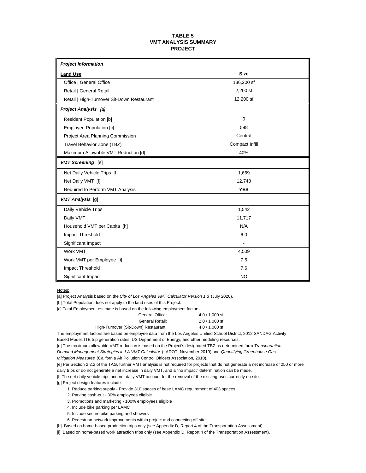#### **TABLE 5 VMT ANALYSIS SUMMARY PROJECT**

| <b>Project Information</b>                 |                |
|--------------------------------------------|----------------|
| <b>Land Use</b>                            | <b>Size</b>    |
| Office   General Office                    | 136,200 sf     |
| Retail   General Retail                    | 2,200 sf       |
| Retail   High-Turnover Sit-Down Restaurant | 12,200 sf      |
| <b>Project Analysis [a]</b>                |                |
| <b>Resident Population [b]</b>             | $\Omega$       |
| Employee Population [c]                    | 598            |
| Project Area Planning Commission           | Central        |
| Travel Behavior Zone (TBZ)                 | Compact Infill |
| Maximum Allowable VMT Reduction [d]        | 40%            |
| <b>VMT Screening</b> [e]                   |                |
| Net Daily Vehicle Trips [f]                | 1,669          |
| Net Daily VMT [f]                          | 12,748         |
| Required to Perform VMT Analysis           | <b>YES</b>     |
| <b>VMT Analysis</b> [g]                    |                |
| Daily Vehicle Trips                        | 1,542          |
| Daily VMT                                  | 11,717         |
| Household VMT per Capita [h]               | N/A            |
| Impact Threshold                           | 6.0            |
| Significant Impact                         |                |
| Work VMT                                   | 4,509          |
| Work VMT per Employee [i]                  | 7.5            |
| Impact Threshold                           | 7.6            |
| Significant Impact                         | <b>NO</b>      |

Notes:

[a] Project Analysis based on the *City of Los Angeles VMT Calculator Version 1.3* (July 2020).

[b] Total Population does not apply to the land uses of this Project.

[c] Total Employment estimate is based on the following employment factors:

| $4.0 / 1.000$ sf |
|------------------|
| $2.0 / 1.000$ sf |
| $4.0 / 1.000$ sf |
|                  |

The employment factors are based on employee data from the Los Angeles Unified School District, 2012 SANDAG Activity

Based Model, ITE trip generation rates, US Department of Energy, and other modeling resources.

[d] The maximum allowable VMT reduction is based on the Project's designated TBZ as determined form *Transportation*

*Demand Management Strategies in LA VMT Calculator* (LADOT, November 2019) and *Quantifying Greenhouse Gas*

*Mitigation Measures* (California Air Pollution Control Officers Association, 2010).

[e] Per Section 2.2.2 of the TAG, further VMT analysis is not required for projects that do not generate a net increase of 250 or more daily trips or do not generate a net increase in daily VMT, and a "no impact" determination can be made.

[f] The net daily vehicle trips and net daily VMT account for the removal of the existing uses currently on-site.

[g] Project design features include:

- 1. Reduce parking supply Provide 310 spaces of base LAMC requirement of 403 spaces
- 2. Parking cash-out 30% employees eligible

3. Promotions and marketing - 100% employees eligible

- 4. Include bike parking per LAMC
- 5. Include secure bike parking and showers
- 6. Pedestrian network improvements within project and connecting off-site

[h] Based on home-based production trips only (see Appendix D, Report 4 of the Transportation Assessment).

[i] Based on home-based work attraction trips only (see Appendix D, Report 4 of the Transportation Assessment).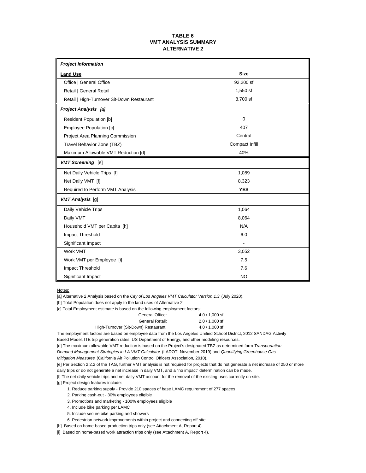#### **TABLE 6 VMT ANALYSIS SUMMARY ALTERNATIVE 2**

| <b>Project Information</b>                 |                |  |  |  |
|--------------------------------------------|----------------|--|--|--|
| <b>Land Use</b>                            | <b>Size</b>    |  |  |  |
| Office   General Office                    | 92,200 sf      |  |  |  |
| Retail   General Retail                    | 1,550 sf       |  |  |  |
| Retail   High-Turnover Sit-Down Restaurant | 8,700 sf       |  |  |  |
| <b>Project Analysis</b> [a]                |                |  |  |  |
| <b>Resident Population [b]</b>             | $\mathbf 0$    |  |  |  |
| Employee Population [c]                    | 407            |  |  |  |
| Project Area Planning Commission           | Central        |  |  |  |
| Travel Behavior Zone (TBZ)                 | Compact Infill |  |  |  |
| Maximum Allowable VMT Reduction [d]        | 40%            |  |  |  |
| <b>VMT Screening</b> [e]                   |                |  |  |  |
| Net Daily Vehicle Trips [f]                | 1,089          |  |  |  |
| Net Daily VMT [f]                          | 8,323          |  |  |  |
| Required to Perform VMT Analysis           | <b>YES</b>     |  |  |  |
| <b>VMT Analysis</b> [g]                    |                |  |  |  |
| Daily Vehicle Trips                        | 1,064          |  |  |  |
| Daily VMT                                  | 8,064          |  |  |  |
| Household VMT per Capita [h]               | N/A            |  |  |  |
| Impact Threshold                           | 6.0            |  |  |  |
| Significant Impact                         |                |  |  |  |
| Work VMT                                   | 3,052          |  |  |  |
| Work VMT per Employee [i]                  | 7.5            |  |  |  |
| Impact Threshold                           | 7.6            |  |  |  |
| Significant Impact                         | <b>NO</b>      |  |  |  |

Notes:

[a] Alternative 2 Analysis based on the *City of Los Angeles VMT Calculator Version 1.3* (July 2020).

[b] Total Population does not apply to the land uses of Alternative 2.

[c] Total Employment estimate is based on the following employment factors:

| $4.0 / 1.000$ sf |
|------------------|
| $2.0 / 1.000$ sf |
| $4.0 / 1.000$ sf |
|                  |

The employment factors are based on employee data from the Los Angeles Unified School District, 2012 SANDAG Activity

Based Model, ITE trip generation rates, US Department of Energy, and other modeling resources.

[d] The maximum allowable VMT reduction is based on the Project's designated TBZ as determined form *Transportation*

*Demand Management Strategies in LA VMT Calculator* (LADOT, November 2019) and *Quantifying Greenhouse Gas*

*Mitigation Measures* (California Air Pollution Control Officers Association, 2010).

[e] Per Section 2.2.2 of the TAG, further VMT analysis is not required for projects that do not generate a net increase of 250 or more daily trips or do not generate a net increase in daily VMT, and a "no impact" determination can be made.

[f] The net daily vehicle trips and net daily VMT account for the removal of the existing uses currently on-site.

[g] Project design features include:

- 1. Reduce parking supply Provide 210 spaces of base LAMC requirement of 277 spaces
- 2. Parking cash-out 30% employees eligible
- 3. Promotions and marketing 100% employees eligible
- 4. Include bike parking per LAMC
- 5. Include secure bike parking and showers
- 6. Pedestrian network improvements within project and connecting off-site

[h] Based on home-based production trips only (see Attachment A, Report 4).

[i] Based on home-based work attraction trips only (see Attachment A, Report 4).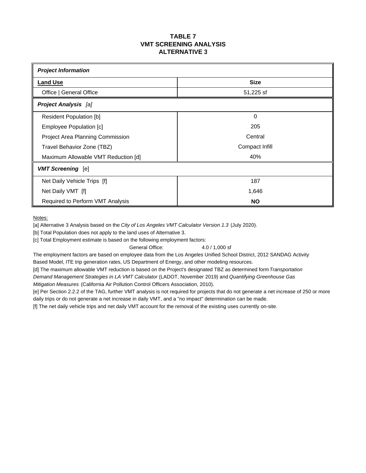## **TABLE 7 VMT SCREENING ANALYSIS ALTERNATIVE 3**

| <b>Project Information</b>          |                |  |  |  |  |  |
|-------------------------------------|----------------|--|--|--|--|--|
| <b>Land Use</b>                     | <b>Size</b>    |  |  |  |  |  |
| Office   General Office             | 51,225 sf      |  |  |  |  |  |
| <b>Project Analysis</b> [a]         |                |  |  |  |  |  |
| <b>Resident Population [b]</b>      | $\Omega$       |  |  |  |  |  |
| Employee Population [c]             | 205            |  |  |  |  |  |
| Project Area Planning Commission    | Central        |  |  |  |  |  |
| Travel Behavior Zone (TBZ)          | Compact Infill |  |  |  |  |  |
| Maximum Allowable VMT Reduction [d] | 40%            |  |  |  |  |  |
| <b>VMT Screening</b> [e]            |                |  |  |  |  |  |
| Net Daily Vehicle Trips [f]         | 187            |  |  |  |  |  |
| Net Daily VMT [f]                   | 1,646          |  |  |  |  |  |
| Required to Perform VMT Analysis    | <b>NO</b>      |  |  |  |  |  |

Notes:

[a] Alternative 3 Analysis based on the *City of Los Angeles VMT Calculator Version 1.3* (July 2020).

[b] Total Population does not apply to the land uses of Alternative 3.

[c] Total Employment estimate is based on the following employment factors:

General Office: 4.0 / 1,000 sf

The employment factors are based on employee data from the Los Angeles Unified School District, 2012 SANDAG Activity Based Model, ITE trip generation rates, US Department of Energy, and other modeling resources.

[d] The maximum allowable VMT reduction is based on the Project's designated TBZ as determined form *Transportation*

*Demand Management Strategies in LA VMT Calculator* (LADOT, November 2019) and *Quantifying Greenhouse Gas Mitigation Measures* (California Air Pollution Control Officers Association, 2010).

[e] Per Section 2.2.2 of the TAG, further VMT analysis is not required for projects that do not generate a net increase of 250 or more

daily trips or do not generate a net increase in daily VMT, and a "no impact" determination can be made.

[f] The net daily vehicle trips and net daily VMT account for the removal of the existing uses currently on-site.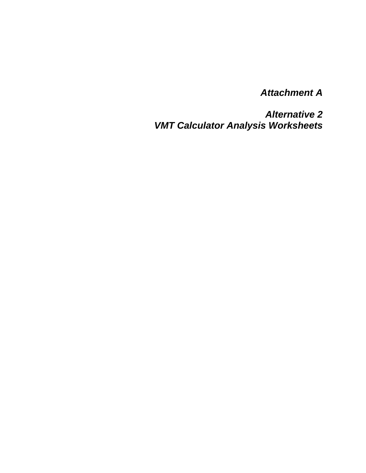*Attachment A* 

*Alternative 2 VMT Calculator Analysis Worksheets*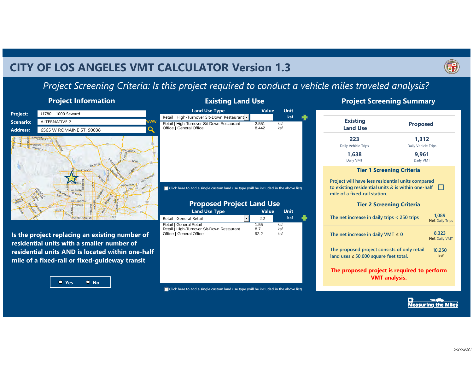## **CITY OF LOS ANGELES VMT CALCULATOR Version 1.3**



## *Project Screening Criteria: Is this project required to conduct a vehicle miles traveled analysis?*

## **Project Information**



**Is the project replacing an existing number of residential units with a smaller number of residential units AND is located within one-half mile of a fixed-rail or fixed-guideway transit** 



## **Existing Land Use**

#### $\overline{a}$ **ksf**Retail | High-Turnover Sit-Down Restaurant Retail | High-Turnover Sit-Down Restaurant 2.551 ksf<br>Office | General Office | 8.442 ksf Office | General Office **Land Use Type Value Unit**

**Click here to add a single custom land use type (will be included in the above list)** 

## **Proposed Project Land Use**

| <b>Land Use Type</b>                       | <b>Value</b> |      | Unit |     |  |
|--------------------------------------------|--------------|------|------|-----|--|
| Retail   General Retail                    |              | 2.2  |      | ksf |  |
| Retail   General Retail                    |              | 1.55 | ksf  |     |  |
| Retail   High-Turnover Sit-Down Restaurant |              | 8.7  | ksf  |     |  |
| Office   General Office                    |              | 92.2 | ksf  |     |  |

**Click here to add a single custom land use type (will be included in the above list)** 

## **Project Screening Summary**

| <b>Existing</b><br><b>Land Use</b>                                                                                                       | <b>Proposed</b>              |                                 |  |  |  |  |  |
|------------------------------------------------------------------------------------------------------------------------------------------|------------------------------|---------------------------------|--|--|--|--|--|
| 223<br>Daily Vehicle Trips                                                                                                               | 1.312<br>Daily Vehicle Trips |                                 |  |  |  |  |  |
| 1.638<br>Daily VMT                                                                                                                       | 9.961<br>Daily VMT           |                                 |  |  |  |  |  |
| <b>Tier 1 Screening Criteria</b>                                                                                                         |                              |                                 |  |  |  |  |  |
| Project will have less residential units compared<br>to existing residential units & is within one-half<br>mile of a fixed-rail station. |                              |                                 |  |  |  |  |  |
| <b>Tier 2 Screening Criteria</b>                                                                                                         |                              |                                 |  |  |  |  |  |
| The net increase in daily trips < 250 trips                                                                                              |                              | 1.089<br><b>Net Daily Trips</b> |  |  |  |  |  |
| The net increase in daily VMT $\leq$ 0                                                                                                   |                              | 8.323<br><b>Net Daily VMT</b>   |  |  |  |  |  |
| The proposed project consists of only retail<br>land uses $\leq 50,000$ square feet total.                                               |                              | 10.250<br>ksf                   |  |  |  |  |  |
| The proposed project is required to perform                                                                                              | <b>VMT</b> analysis.         |                                 |  |  |  |  |  |

**Measuring the Miles**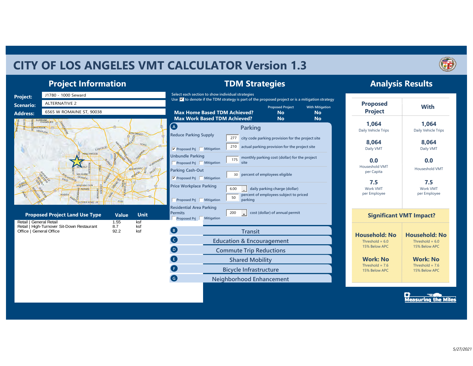## **CITY OF LOS ANGELES VMT CALCULATOR Version 1.3**



**Analysis Results**

## **Project Information**



**TDM Strategies**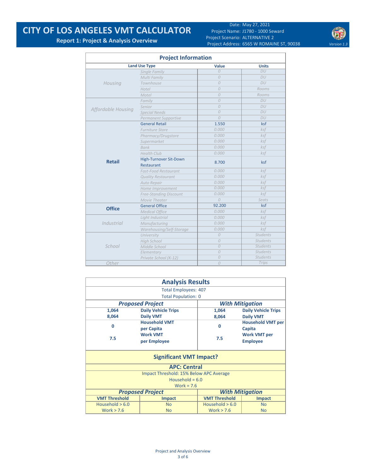## **CITY OF LOS ANGELES VMT CALCULATOR**

Date: May 27, 2021 Project Name: J1780 ‐ 1000 Seward Project Scenario: ALTERNATIVE 2 Project Address: 6565 W ROMAINE ST, 90038 Version 1.3



**Report 1: Project & Analysis Overview**

| <b>Project Information</b> |                               |                |                 |  |  |  |  |  |  |  |
|----------------------------|-------------------------------|----------------|-----------------|--|--|--|--|--|--|--|
|                            | <b>Land Use Type</b>          | Value          | <b>Units</b>    |  |  |  |  |  |  |  |
|                            | Single Family                 | $\Omega$       | DU              |  |  |  |  |  |  |  |
|                            | Multi Family                  | $\overline{O}$ | DU              |  |  |  |  |  |  |  |
| Housing                    | Townhouse                     | $\Omega$       | DU              |  |  |  |  |  |  |  |
|                            | Hotel                         | $\overline{O}$ | Rooms           |  |  |  |  |  |  |  |
|                            | Motel                         | $\theta$       | Rooms           |  |  |  |  |  |  |  |
|                            | Family                        | $\overline{O}$ | DU              |  |  |  |  |  |  |  |
|                            | Senior                        | $\overline{O}$ | DU              |  |  |  |  |  |  |  |
| Affordable Housing         | <b>Special Needs</b>          | $\overline{O}$ | DU              |  |  |  |  |  |  |  |
|                            | Permanent Supportive          | $\overline{O}$ | DU              |  |  |  |  |  |  |  |
|                            | <b>General Retail</b>         | 1.550          | ksf             |  |  |  |  |  |  |  |
|                            | <b>Furniture Store</b>        | 0.000          | ksf             |  |  |  |  |  |  |  |
|                            | Pharmacy/Drugstore            | 0.000          | ksf             |  |  |  |  |  |  |  |
|                            | Supermarket                   | 0.000          | ksf             |  |  |  |  |  |  |  |
|                            | <b>Bank</b>                   | 0.000          | ksf             |  |  |  |  |  |  |  |
|                            | <b>Health Club</b>            | 0.000          | ksf             |  |  |  |  |  |  |  |
| <b>Retail</b>              | High-Turnover Sit-Down        | 8.700          |                 |  |  |  |  |  |  |  |
|                            | Restaurant                    |                | ksf             |  |  |  |  |  |  |  |
|                            | <b>Fast-Food Restaurant</b>   | 0.000          | ksf             |  |  |  |  |  |  |  |
|                            | <b>Quality Restaurant</b>     | 0.000          | ksf             |  |  |  |  |  |  |  |
|                            | Auto Repair                   | 0.000          | ksf             |  |  |  |  |  |  |  |
|                            | Home Improvement              | 0.000          | ksf             |  |  |  |  |  |  |  |
|                            | <b>Free-Standing Discount</b> | 0.000          | $k$ sf          |  |  |  |  |  |  |  |
|                            | Movie Theater                 | $\overline{O}$ | Seats           |  |  |  |  |  |  |  |
| <b>Office</b>              | <b>General Office</b>         | 92.200         | ksf             |  |  |  |  |  |  |  |
|                            | <b>Medical Office</b>         | 0.000          | ksf             |  |  |  |  |  |  |  |
|                            | Light Industrial              | 0.000          | ksf             |  |  |  |  |  |  |  |
| <b>Industrial</b>          | Manufacturing                 | 0.000          | ksf             |  |  |  |  |  |  |  |
|                            | Warehousing/Self-Storage      | 0.000          | ksf             |  |  |  |  |  |  |  |
|                            | University                    | $\overline{O}$ | <b>Students</b> |  |  |  |  |  |  |  |
|                            | <b>High School</b>            | $\overline{O}$ | <b>Students</b> |  |  |  |  |  |  |  |
| School                     | Middle School                 | 0              | <b>Students</b> |  |  |  |  |  |  |  |
|                            | Elementary                    | $\overline{O}$ | <b>Students</b> |  |  |  |  |  |  |  |
|                            | Private School (K-12)         | $\overline{O}$ | <b>Students</b> |  |  |  |  |  |  |  |
| Other                      |                               | $\overline{O}$ | Trips           |  |  |  |  |  |  |  |

| <b>Analysis Results</b>    |                                         |                      |                            |  |  |  |  |  |
|----------------------------|-----------------------------------------|----------------------|----------------------------|--|--|--|--|--|
|                            | <b>Total Employees: 407</b>             |                      |                            |  |  |  |  |  |
| <b>Total Population: 0</b> |                                         |                      |                            |  |  |  |  |  |
|                            | <b>Proposed Project</b>                 |                      | <b>With Mitigation</b>     |  |  |  |  |  |
| 1,064                      | <b>Daily Vehicle Trips</b>              | 1,064                | <b>Daily Vehicle Trips</b> |  |  |  |  |  |
| 8,064                      | <b>Daily VMT</b>                        | 8,064                | <b>Daily VMT</b>           |  |  |  |  |  |
| $\Omega$                   | <b>Household VMT</b>                    |                      | <b>Household VMT per</b>   |  |  |  |  |  |
|                            | per Capita                              | $\Omega$             | Capita                     |  |  |  |  |  |
|                            | <b>Work VMT</b>                         |                      | <b>Work VMT per</b>        |  |  |  |  |  |
| 7.5                        | per Employee                            | 7.5                  | <b>Employee</b>            |  |  |  |  |  |
|                            |                                         |                      |                            |  |  |  |  |  |
|                            | <b>Significant VMT Impact?</b>          |                      |                            |  |  |  |  |  |
|                            | <b>APC: Central</b>                     |                      |                            |  |  |  |  |  |
|                            | Impact Threshold: 15% Below APC Average |                      |                            |  |  |  |  |  |
|                            | Household = $6.0$                       |                      |                            |  |  |  |  |  |
|                            | Work = $7.6$                            |                      |                            |  |  |  |  |  |
|                            | <b>Proposed Project</b>                 |                      | <b>With Mitigation</b>     |  |  |  |  |  |
| <b>VMT Threshold</b>       | <b>Impact</b>                           | <b>VMT Threshold</b> | <b>Impact</b>              |  |  |  |  |  |
| Household $> 6.0$          | <b>No</b>                               | Household $> 6.0$    | <b>No</b>                  |  |  |  |  |  |
| Work $> 7.6$               | <b>No</b>                               | Work $> 7.6$         | <b>No</b>                  |  |  |  |  |  |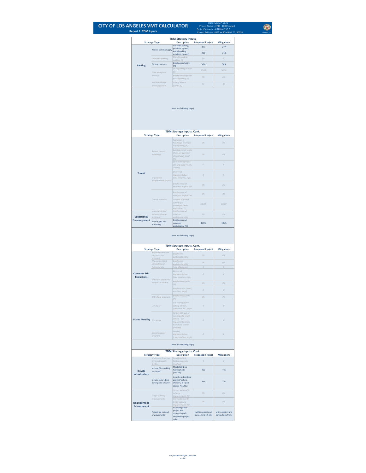## **CITY OF LOS ANGELES VMT CALCULATOR Report 2: TDM Inputs**

 $\bigcirc$ Date: May 27, 2021<br>
Project Name: 11780 - 1000 Seward<br>
Project Scenario: ALTERNATIVE 2<br>
Project Address: *6565* W ROMAINE 5T, 90038<br>
Version 1.3

May 27, 2021 J1780 ‐ 1000 Seward ALTERNATIVE 2 6565 W ROMAINE ST, 90038

|                                   |                                                                   | <b>TDM Strategy Inputs</b>                                                                             |                         |                    |  |  |
|-----------------------------------|-------------------------------------------------------------------|--------------------------------------------------------------------------------------------------------|-------------------------|--------------------|--|--|
|                                   | <b>Strategy Type</b>                                              | <b>Description</b><br>City code parking                                                                | <b>Proposed Project</b> | <b>Mitigations</b> |  |  |
|                                   | Reduce parking supply                                             | provision (spaces)<br><b>Actual parking</b>                                                            | 277                     | 277                |  |  |
|                                   |                                                                   | provision (spaces)                                                                                     | 210                     | 210                |  |  |
|                                   | Unbundle parking                                                  | Monthly cost for<br>parking (\$)                                                                       | 50                      | SO                 |  |  |
| Parking                           | Parking cash-out                                                  | Employees eligible<br>(% )                                                                             | 30%                     | 30%                |  |  |
|                                   | Price workplace                                                   | Daily parking charge<br>(5)                                                                            | \$0.00                  | \$0.00             |  |  |
|                                   | parkina                                                           | Employees subject to                                                                                   | 0%                      | 0%                 |  |  |
|                                   | Residential area                                                  | priced parking (%)<br>Cost of annual                                                                   |                         |                    |  |  |
|                                   | parking permits                                                   | permit (\$)                                                                                            | 50                      | 50                 |  |  |
|                                   |                                                                   | (cont. on following page)                                                                              |                         |                    |  |  |
|                                   |                                                                   | TDM Strategy Inputs, Cont.                                                                             |                         |                    |  |  |
|                                   | <b>Strategy Type</b>                                              | <b>Description</b><br>Reduction in                                                                     | <b>Proposed Project</b> | Mitigations        |  |  |
|                                   |                                                                   | headways (increase<br>In frequency) (%)<br>Existing transit mode                                       | 0%                      | 0%                 |  |  |
|                                   | Reduce transit<br>headways                                        | share (as a percent<br>of total daily trips)<br>(%)                                                    | O%                      | 0%                 |  |  |
|                                   |                                                                   | Lines within project<br>site improved (<50%,<br>$=50%$                                                 | $\theta$                | $\theta$           |  |  |
| <b>Transit</b>                    | Implement<br>neighborhood shuttle                                 | Degree of<br><i>implementation</i><br>(low, medium, high)                                              | $\overline{O}$          | $\theta$           |  |  |
|                                   |                                                                   | Employees and<br>residents eligible (%)                                                                | 0%                      | 0%                 |  |  |
|                                   | Transit subsidies                                                 | Employees and<br>residents eligible (%)<br>Amount of transit                                           | O%                      | 0%                 |  |  |
|                                   | Voluntary travel                                                  | subsidy per<br>passenger (daily<br>equivalent) (\$)<br>Employees and                                   | \$0.00                  | \$0.00             |  |  |
| <b>Education &amp;</b>            | behavior change                                                   | residents                                                                                              | 0%                      | 0%                 |  |  |
| Encouragement                     | program<br>Promotions and                                         | participating (%)<br><b>Employees and</b><br>residents                                                 | 100%                    | 100%               |  |  |
|                                   |                                                                   | TDM Strategy Inputs, Cont.<br><b>Description</b>                                                       | <b>Proposed Project</b> | <b>Mitigations</b> |  |  |
|                                   | <b>Strategy Type</b><br>Required commute<br>trip reduction        | Employees                                                                                              | 0%                      | 0%                 |  |  |
|                                   | program                                                           | participating (%)                                                                                      |                         |                    |  |  |
|                                   | Alternative Work<br>Schedules and                                 | Employees<br>participating (%)                                                                         | 0%                      | 0%                 |  |  |
|                                   | Telecommute                                                       | Type of program                                                                                        | $\theta$                | $\overline{O}$     |  |  |
| <b>Commute Trip</b>               |                                                                   | Degree of<br><i>implementation</i>                                                                     | $\theta$                | $\theta$           |  |  |
| <b>Reductions</b>                 | Employer sponsored                                                | (low, medium, high)                                                                                    |                         |                    |  |  |
|                                   | vanpool or shuttle                                                | Employees eligible<br>(%)                                                                              | 0%                      | 0%                 |  |  |
|                                   |                                                                   | Employer size (small,<br>medium, large)                                                                | $\theta$                | $\theta$           |  |  |
|                                   |                                                                   | Employees eligible                                                                                     |                         |                    |  |  |
|                                   | Ride-share program                                                | (96)                                                                                                   | 0%                      | 0%                 |  |  |
|                                   | Car share                                                         | Car share project<br>etting (Urba<br>Suburban, All Other)                                              | $\Omega$                | $\Omega$           |  |  |
| <b>Shared Mobility Bike share</b> |                                                                   | Within 600 feet of<br>existing bike share<br>station - $OR-$<br>Implementing new<br>bike share station | $\cal O$                | $\theta$           |  |  |
|                                   | School carpool<br>program                                         | (Yes/No)<br>Level of<br><i>implementation</i>                                                          | $\mathcal{O}$           |                    |  |  |
|                                   |                                                                   |                                                                                                        |                         | $\mathcal{O}$      |  |  |
|                                   |                                                                   | (Low, Medium, High)<br>(cont. on following page)                                                       |                         |                    |  |  |
|                                   | <b>Strategy Type</b>                                              | TDM Strategy Inputs, Cont.<br><b>Description</b>                                                       | <b>Proposed Project</b> | <b>Mitigations</b> |  |  |
|                                   | Implement/Improve                                                 | Provide bicycle                                                                                        | $\theta$                | $\theta$           |  |  |
| <b>Bicycle</b>                    | on-street bicycle<br>facility<br>Include Bike parking<br>per LAMC | facility along site<br>(Yes/No)<br>Meets City Bike<br><b>Parking Code</b>                              | Yes                     | Yes                |  |  |
| Infrastructure                    | Include secure bike<br>parking and showers                        | (Yes/No)<br>Includes indoor bike<br>parking/lockers,<br>showers, & repair<br>station (Yes/No)          | Yes                     | Yes                |  |  |
|                                   |                                                                   | Streets with traffic                                                                                   |                         |                    |  |  |
| Neighborhood                      | Traffic calming<br><i>Improvements</i>                            | calming<br>improvements (%)<br>Intersections with<br>traffic calming                                   | 0%<br>0%                | 0%<br>0%           |  |  |
| <b>Enhancement</b>                |                                                                   | Improvements (%)<br>Included (within<br>project and                                                    |                         |                    |  |  |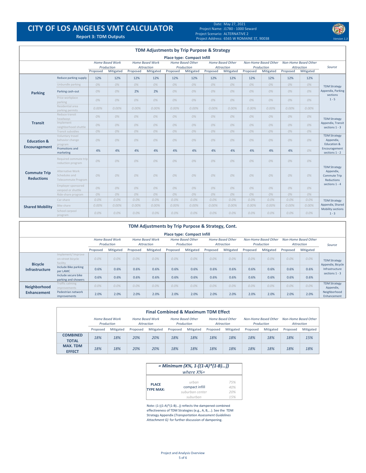## **CITY OF LOS ANGELES VMT CALCULATOR**

#### Date: Project Name: Project Scenario: ALTERNATIVE 2 Project Address: **Report 3: TDM Outputs** *Version 1.3* 6565 W ROMAINE ST, 90038 May 27, 2021 J1780 ‐ 1000 Seward

|                                          |                                                          |          |                                                   |          |                                                   | <b>TDM Adjustments by Trip Purpose &amp; Strategy</b> |                                                    |          |                                                           |          |                                                        |          |                                                        |                                                                                      |
|------------------------------------------|----------------------------------------------------------|----------|---------------------------------------------------|----------|---------------------------------------------------|-------------------------------------------------------|----------------------------------------------------|----------|-----------------------------------------------------------|----------|--------------------------------------------------------|----------|--------------------------------------------------------|--------------------------------------------------------------------------------------|
|                                          |                                                          |          |                                                   |          |                                                   | <b>Place type: Compact Infill</b>                     |                                                    |          |                                                           |          |                                                        |          |                                                        |                                                                                      |
|                                          |                                                          | Proposed | <b>Home Based Work</b><br>Production<br>Mitigated | Proposed | <b>Home Based Work</b><br>Attraction<br>Mitigated | Proposed                                              | <b>Home Based Other</b><br>Production<br>Mitigated | Proposed | <b>Home Based Other</b><br><b>Attraction</b><br>Mitigated | Proposed | <b>Non-Home Based Other</b><br>Production<br>Mitigated | Proposed | <b>Non-Home Based Other</b><br>Attraction<br>Mitigated | Source                                                                               |
|                                          | Reduce parking supply                                    | 12%      | 12%                                               | 12%      | 12%                                               | 12%                                                   | 12%                                                | 12%      | 12%                                                       | 12%      | 12%                                                    | 12%      | 12%                                                    |                                                                                      |
|                                          | Unbundle parking                                         | 0%       | 0%                                                | 0%       | 0%                                                | 0%                                                    | 0%                                                 | 0%       | 0%                                                        | 0%       | 0%                                                     | 0%       | 0%                                                     |                                                                                      |
| <b>Parking</b>                           | Parking cash-out                                         | 0%       | 0%                                                | 2%       | 2%                                                | 0%                                                    | 0%                                                 | 0%       | 0%                                                        | 0%       | 0%                                                     | 0%       | 0%                                                     | <b>TDM Strategy</b><br>Appendix, Parking<br>sections                                 |
|                                          | Price workplace<br>parking                               | 0%       | 0%                                                | 0%       | 0%                                                | 0%                                                    | 0%                                                 | 0%       | 0%                                                        | 0%       | 0%                                                     | 0%       | 0%                                                     | $1 - 5$                                                                              |
|                                          | Residential area<br>parking permits                      | $0.00\%$ | $0.00\%$                                          | $0.00\%$ | 0.00%                                             | 0.00%                                                 | 0.00%                                              | 0.00%    | $0.00\%$                                                  | 0.00%    | 0.00%                                                  | $0.00\%$ | 0.00%                                                  |                                                                                      |
| <b>Transit</b>                           | Reduce transit<br>headways                               | 0%       | 0%                                                | 0%       | 0%                                                | 0%                                                    | 0%                                                 | 0%       | 0%                                                        | 0%       | 0%                                                     | 0%       | 0%                                                     | <b>TDM Strategy</b><br>Appendix, Transit<br>sections 1 - 3                           |
|                                          | Implement<br>neighborhood shuttle                        | 0%       | 0%                                                | 0%       | 0%                                                | 0%                                                    | 0%                                                 | 0%       | 0%                                                        | 0%       | 0%                                                     | 0%       | 0%                                                     |                                                                                      |
|                                          | Transit subsidies                                        | 0%       | 0%                                                | 0%       | 0%                                                | 0%                                                    | 0%                                                 | 0%       | 0%                                                        | 0%       | 0%                                                     | 0%       | 0%                                                     |                                                                                      |
| <b>Education &amp;</b>                   | Voluntary travel<br>behavior change<br>program           | 0%       | 0%                                                | 0%       | 0%                                                | 0%                                                    | 0%                                                 | 0%       | 0%                                                        | 0%       | 0%                                                     | 0%       | 0%                                                     | <b>TDM Strategy</b><br>Appendix,<br>Education &<br>Encouragement<br>sections $1 - 2$ |
| Encouragement                            | Promotions and<br>marketing                              | 4%       | 4%                                                | 4%       | 4%                                                | 4%                                                    | 4%                                                 | 4%       | 4%                                                        | 4%       | 4%                                                     | 4%       | 0%                                                     |                                                                                      |
|                                          | Required commute trip<br>reduction program               | 0%       | 0%                                                | 0%       | 0%                                                | 0%                                                    | 0%                                                 | 0%       | 0%                                                        | 0%       | 0%                                                     | 0%       | 0%                                                     |                                                                                      |
| <b>Commute Trip</b><br><b>Reductions</b> | Alternative Work<br>Schedules and<br>Telecommute Program | 0%       | 0%                                                | 0%       | 0%                                                | 0%                                                    | 0%                                                 | 0%       | 0%                                                        | 0%       | 0%                                                     | 0%       | 0%                                                     | <b>TDM Strategy</b><br>Appendix,<br><b>Commute Trip</b><br><b>Reductions</b>         |
|                                          | Employer sponsored<br>vanpool or shuttle                 | 0%       | 0%                                                | 0%       | 0%                                                | 0%                                                    | 0%                                                 | 0%       | 0%                                                        | 0%       | 0%                                                     | 0%       | 0%                                                     | sections 1 - 4                                                                       |
|                                          | Ride-share program                                       | 0%       | 0%                                                | 0%       | 0%                                                | 0%                                                    | 0%                                                 | 0%       | 0%                                                        | 0%       | 0%                                                     | 0%       | 0%                                                     |                                                                                      |
|                                          | Car-share                                                | $0.0\%$  | $0.0\%$                                           | 0.0%     | $0.0\%$                                           | $0.0\%$                                               | 0.0%                                               | $0.0\%$  | 0.0%                                                      | 0.0%     | $0.0\%$                                                | $0.0\%$  | 0.0%                                                   | <b>TDM Strategy</b>                                                                  |
| <b>Shared Mobility</b>                   | Bike share                                               | $0.00\%$ | 0.00%                                             | $0.00\%$ | 0.00%                                             | 0.00%                                                 | 0.00%                                              | 0.00%    | $0.00\%$                                                  | 0.00%    | 0.00%                                                  | $0.00\%$ | 0.00%                                                  | Appendix, Shared                                                                     |
|                                          | School carpool<br>program                                | 0.0%     | $0.0\%$                                           | 0.0%     | $0.0\%$                                           | 0.0%                                                  | 0.0%                                               | $0.0\%$  | $0.0\%$                                                   | 0.0%     | 0.0%                                                   | 0.0%     | $0.0\%$                                                | Mobility sections<br>$1 - 3$                                                         |

| TDM Adjustments by Trip Purpose & Strategy, Cont. |                                                    |                                      |           |          |                                      |          |                                                                                |          |           |                                    |           |                                    |           |                                                                                |
|---------------------------------------------------|----------------------------------------------------|--------------------------------------|-----------|----------|--------------------------------------|----------|--------------------------------------------------------------------------------|----------|-----------|------------------------------------|-----------|------------------------------------|-----------|--------------------------------------------------------------------------------|
| <b>Place type: Compact Infill</b>                 |                                                    |                                      |           |          |                                      |          |                                                                                |          |           |                                    |           |                                    |           |                                                                                |
|                                                   |                                                    | <b>Home Based Work</b><br>Production |           |          | <b>Home Based Work</b><br>Attraction |          | <b>Home Based Other</b><br><b>Home Based Other</b><br>Production<br>Attraction |          |           | Non-Home Based Other<br>Production |           | Non-Home Based Other<br>Attraction | Source    |                                                                                |
|                                                   |                                                    | Proposed                             | Mitigated | Proposed | Mitigated                            | Proposed | Mitigated                                                                      | Proposed | Mitigated | Proposed                           | Mitigated | Proposed                           | Mitigated |                                                                                |
| <b>Bicycle</b>                                    | Implement/Improve<br>on-street bicycle<br>facility | 0.0%                                 | 0.0%      | 0.0%     | 0.0%                                 | 0.0%     | $0.0\%$                                                                        | $0.0\%$  | $0.0\%$   | 0.0%                               | $0.0\%$   | 0.0%                               | $0.0\%$   | <b>TDM Strategy</b><br>Appendix, Bicycle<br>Infrastructure<br>sections $1 - 3$ |
| <b>Infrastructure</b>                             | Include Bike parking<br>per LAMC                   | 0.6%                                 | 0.6%      | 0.6%     | 0.6%                                 | 0.6%     | 0.6%                                                                           | 0.6%     | 0.6%      | 0.6%                               | 0.6%      | 0.6%                               | 0.6%      |                                                                                |
|                                                   | Include secure bike<br>parking and showers         | 0.6%                                 | 0.6%      | 0.6%     | 0.6%                                 | 0.6%     | 0.6%                                                                           | 0.6%     | 0.6%      | 0.6%                               | 0.6%      | 0.6%                               | 0.6%      |                                                                                |
| Neighborhood                                      | Traffic calming<br><i>improvements</i>             | 0.0%                                 | 0.0%      | 0.0%     | 0.0%                                 | $0.0\%$  | $0.0\%$                                                                        | $0.0\%$  | 0.0%      | 0.0%                               | 0.0%      | 0.0%                               | 0.0%      | <b>TDM Strategy</b><br>Appendix,                                               |
| <b>Enhancement</b>                                | Pedestrian network<br>improvements                 | 2.0%                                 | 2.0%      | 2.0%     | 2.0%                                 | 2.0%     | 2.0%                                                                           | 2.0%     | 2.0%      | 2.0%                               | 2.0%      | 2.0%                               | 2.0%      | Neighborhood<br>Enhancement                                                    |

|                                  | <b>Final Combined &amp; Maximum TDM Effect</b> |           |                                      |           |          |                                       |          |                                       |          |                                    |                                    |           |
|----------------------------------|------------------------------------------------|-----------|--------------------------------------|-----------|----------|---------------------------------------|----------|---------------------------------------|----------|------------------------------------|------------------------------------|-----------|
|                                  | <b>Home Based Work</b><br>Production           |           | <b>Home Based Work</b><br>Attraction |           |          | <b>Home Based Other</b><br>Production |          | <b>Home Based Other</b><br>Attraction |          | Non-Home Based Other<br>Production | Non-Home Based Other<br>Attraction |           |
|                                  | Proposed                                       | Mitigated | Proposed                             | Mitigated | Proposed | Mitigated                             | Proposed | Mitigated                             | Proposed | Mitigated                          | Proposed                           | Mitigated |
| <b>COMBINED</b><br><b>TOTAL</b>  | 18%                                            | 18%       | 20%                                  | 20%       | 18%      | 18%                                   | 18%      | 18%                                   | 18%      | 18%                                | 18%                                | 15%       |
| <b>MAX. TDM</b><br><b>EFFECT</b> | 18%                                            | 18%       | 20%                                  | 20%       | 18%      | 18%                                   | 18%      | 18%                                   | 18%      | 18%                                | 18%                                | 18%       |

|                  | = Minimum (X%, 1- $[(1-A)*(1-B))]$<br>where $X\% =$ |     |
|------------------|-----------------------------------------------------|-----|
| <b>PLACE</b>     | urban                                               | 75% |
| <b>TYPE MAX:</b> | compact infill                                      | 40% |
|                  | suburban center                                     | 20% |
|                  | suburban                                            | 15% |

Note: (1‐[(1‐A)\*(1‐B)…]) reflects the dampened combined effectiveness of TDM Strategies (e.g., A, B,...). See the TDM Strategy Appendix (*Transportation Assessment Guidelines Attachment G)* for further discussion of dampening.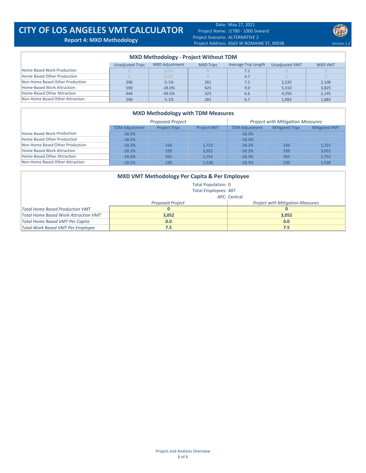## **CITY OF LOS ANGELES VMT CALCULATOR Report 4: MXD Methodology**

Date: May 27, 2021 Project Name: J1780 ‐ 1000 Seward Project Scenario: ALTERNATIVE 2 Project Address: 6565 W ROMAINE ST, 90038 **1.3** Version 1.3



| <b>MXD Methodology - Project Without TDM</b> |                         |                       |                  |                     |                       |                |  |  |  |  |  |
|----------------------------------------------|-------------------------|-----------------------|------------------|---------------------|-----------------------|----------------|--|--|--|--|--|
|                                              | <b>Unadjusted Trips</b> | <b>MXD Adjustment</b> | <b>MXD Trips</b> | Average Trip Length | <b>Unadiusted VMT</b> | <b>MXD VMT</b> |  |  |  |  |  |
| Home Based Work Production                   |                         | $0.0\%$               |                  | 7.1                 |                       |                |  |  |  |  |  |
| Home Based Other Production                  |                         | 0.0%                  |                  | 4.7                 |                       |                |  |  |  |  |  |
| Non-Home Based Other Production              | 296                     | $-5.1%$               | 281              | 7.5                 | 2.220                 | 2,108          |  |  |  |  |  |
| Home-Based Work Attraction                   | 590                     | $-28.0%$              | 425              | 9.0                 | 5,310                 | 3,825          |  |  |  |  |  |
| Home-Based Other Attraction                  | 644                     | $-49.5%$              | 325              | 6.6                 | 4.250                 | 2,145          |  |  |  |  |  |
| Non-Home Based Other Attraction              | 296                     | $-5.1%$               | 281              | 6.7                 | 1,983                 | 1,883          |  |  |  |  |  |

#### **MXD Methodology with TDM Measures**

|                                 |                       | <b>Proposed Project</b> |                    | <b>Project with Mitigation Measures</b> |                        |                      |  |  |
|---------------------------------|-----------------------|-------------------------|--------------------|-----------------------------------------|------------------------|----------------------|--|--|
|                                 | <b>TDM Adjustment</b> | <b>Project Trips</b>    | <b>Project VMT</b> | <b>TDM Adiustment</b>                   | <b>Mitigated Trips</b> | <b>Mitigated VMT</b> |  |  |
| Home Based Work Production      | $-18.3%$              |                         |                    | $-18.3%$                                |                        |                      |  |  |
| Home Based Other Production     | $-18.3%$              |                         |                    | $-18.3%$                                |                        |                      |  |  |
| Non-Home Based Other Production | $-18.3%$              | 230                     | 1.722              | $-18.3%$                                | 230                    | 1,722                |  |  |
| Home-Based Work Attraction      | $-20.2%$              | 339                     | 3.052              | $-20.2%$                                | 339                    | 3.052                |  |  |
| Home-Based Other Attraction     | $-18.3%$              | 265                     | 1.752              | $-18.3%$                                | 265                    | 1.752                |  |  |
| Non-Home Based Other Attraction | $-18.3%$              | 230                     | 1.538              | $-18.3%$                                | 230                    | 1,538                |  |  |

| <b>MXD VMT Methodology Per Capita &amp; Per Employee</b> |                         |                                         |  |  |  |  |  |  |  |  |
|----------------------------------------------------------|-------------------------|-----------------------------------------|--|--|--|--|--|--|--|--|
| <b>Total Population: 0</b>                               |                         |                                         |  |  |  |  |  |  |  |  |
| <b>Total Employees: 407</b>                              |                         |                                         |  |  |  |  |  |  |  |  |
| APC: Central                                             |                         |                                         |  |  |  |  |  |  |  |  |
|                                                          | <b>Proposed Project</b> | <b>Project with Mitigation Measures</b> |  |  |  |  |  |  |  |  |
| Total Home Based Production VMT                          | 0                       |                                         |  |  |  |  |  |  |  |  |
| Total Home Based Work Attraction VMT                     | 3,052                   | 3,052                                   |  |  |  |  |  |  |  |  |
| <b>Total Home Based VMT Per Capita</b>                   | 0.0                     | 0.0                                     |  |  |  |  |  |  |  |  |
| Total Work Based VMT Per Employee                        | 7.5                     | 7.5                                     |  |  |  |  |  |  |  |  |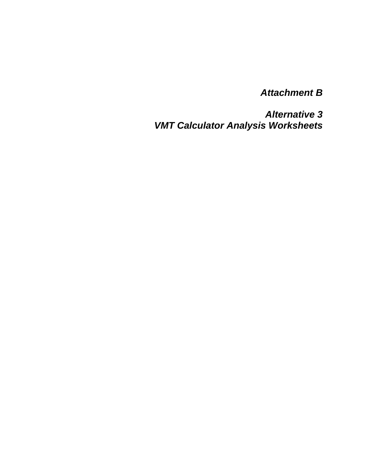*Attachment B* 

*Alternative 3 VMT Calculator Analysis Worksheets*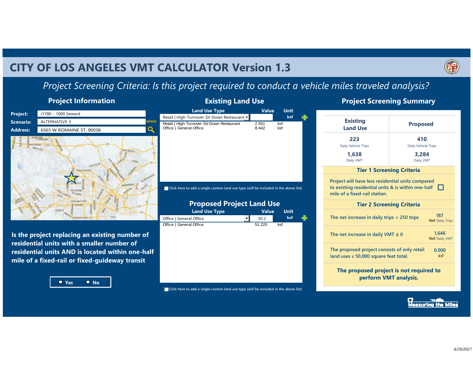## **CITY OF LOS ANGELES VMT CALCULATOR Version 1.3**



## *Project Screening Criteria: Is this project required to conduct a vehicle miles traveled analysis?*

## **Project Information**



## **Project Screening Summary**

| <b>Project:</b>  | J1780 - 1000 Seward                                                                                                                                                                                |     | <b>Land Use Type</b>                                                                                                     | <b>Value</b>   | <b>Unit</b> |  |
|------------------|----------------------------------------------------------------------------------------------------------------------------------------------------------------------------------------------------|-----|--------------------------------------------------------------------------------------------------------------------------|----------------|-------------|--|
|                  |                                                                                                                                                                                                    | www | Retail   High-Turnover Sit-Down Restaurant                                                                               |                | ksf         |  |
| <b>Scenario:</b> | ALTERNATIVE 3                                                                                                                                                                                      | O   | Retail   High-Turnover Sit-Down Restaurant<br>Office   General Office                                                    | 2.551<br>8.442 | ksf<br>ksf  |  |
| <b>Address:</b>  | 6565 W ROMAINE ST, 90038                                                                                                                                                                           |     |                                                                                                                          |                |             |  |
|                  | <b>ALORADO</b><br>OLYMPIC<br><b>WASHINGTON</b>                                                                                                                                                     |     | Click here to add a single custom land use type (will be included in the above list)<br><b>Proposed Project Land Use</b> |                |             |  |
|                  | RODEO                                                                                                                                                                                              |     | <b>Land Use Type</b>                                                                                                     | <b>Value</b>   | <b>Unit</b> |  |
|                  | 41ST<br><b>HER KING. JF</b>                                                                                                                                                                        |     | Office   General Office<br>$\overline{\phantom{a}}$                                                                      | 92.2           | ksf         |  |
|                  |                                                                                                                                                                                                    |     | Office   General Office                                                                                                  | 51.225         | ksf         |  |
|                  | Is the project replacing an existing number of<br>residential units with a smaller number of<br>residential units AND is located within one-half<br>mile of a fixed-rail or fixed-quideway transit |     |                                                                                                                          |                |             |  |

| $\left( \cdot \right)$<br>r i<br>a. | uη |  |
|-------------------------------------|----|--|

| Click here to add a single custom land use type (will be included in the above list) |
|--------------------------------------------------------------------------------------|
|                                                                                      |

| <b>Existing</b><br><b>Land Use</b>                                                                                                       | <b>Proposed</b>                  |                               |  |  |  |  |  |
|------------------------------------------------------------------------------------------------------------------------------------------|----------------------------------|-------------------------------|--|--|--|--|--|
| 223<br>Daily Vehicle Trips                                                                                                               | 410<br>Daily Vehicle Trips       |                               |  |  |  |  |  |
| 1.638<br>Daily VMT                                                                                                                       | 3,284<br>Daily VMT               |                               |  |  |  |  |  |
|                                                                                                                                          | <b>Tier 1 Screening Criteria</b> |                               |  |  |  |  |  |
| Project will have less residential units compared<br>to existing residential units & is within one-half<br>mile of a fixed-rail station. |                                  |                               |  |  |  |  |  |
|                                                                                                                                          | <b>Tier 2 Screening Criteria</b> |                               |  |  |  |  |  |
| The net increase in daily trips < 250 trips                                                                                              |                                  | 187<br><b>Net Daily Trips</b> |  |  |  |  |  |
| The net increase in daily VMT $\leq$ 0                                                                                                   | 1.646<br><b>Net Daily VMT</b>    |                               |  |  |  |  |  |
| The proposed project consists of only retail<br>0.000<br>land uses $\leq 50,000$ square feet total.<br>ksf                               |                                  |                               |  |  |  |  |  |

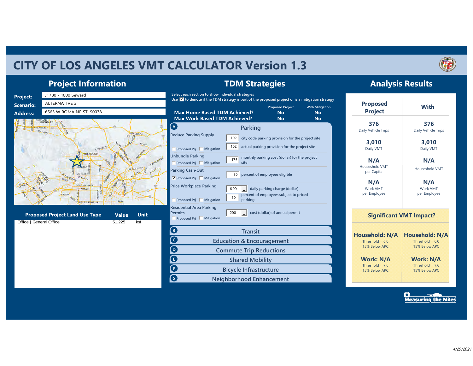## **CITY OF LOS ANGELES VMT CALCULATOR Version 1.3**



**Analysis Results**

## **Project Information**



**TDM Strategies**

Measuring the Miles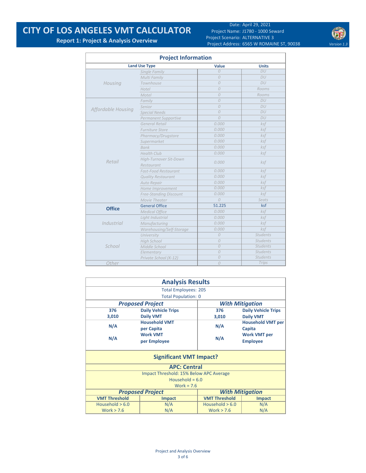## **CITY OF LOS ANGELES VMT CALCULATOR**

Date: April 29, 2021 Project Name: J1780 ‐ 1000 Seward Project Scenario: ALTERNATIVE 3 Project Address: 6565 W ROMAINE ST, 90038 Version 1.3



**Report 1: Project & Analysis Overview**

| <b>Project Information</b> |                               |                |                 |  |  |  |  |  |
|----------------------------|-------------------------------|----------------|-----------------|--|--|--|--|--|
|                            | <b>Land Use Type</b>          | Value          | <b>Units</b>    |  |  |  |  |  |
|                            | Single Family                 | $\Omega$       | DU              |  |  |  |  |  |
|                            | Multi Family                  | $\overline{O}$ | DU              |  |  |  |  |  |
| Housing                    | Townhouse                     | $\Omega$       | DU              |  |  |  |  |  |
|                            | Hotel                         | $\Omega$       | Rooms           |  |  |  |  |  |
|                            | Motel                         | $\Omega$       | Rooms           |  |  |  |  |  |
|                            | Family                        | $\overline{O}$ | DU              |  |  |  |  |  |
|                            | Senior                        | $\overline{O}$ | DU              |  |  |  |  |  |
| Affordable Housing         | <b>Special Needs</b>          | $\overline{O}$ | DU              |  |  |  |  |  |
|                            | <b>Permanent Supportive</b>   | $\theta$       | DU              |  |  |  |  |  |
|                            | <b>General Retail</b>         | 0.000          | ksf             |  |  |  |  |  |
|                            | <b>Furniture Store</b>        | 0.000          | ksf             |  |  |  |  |  |
|                            | Pharmacy/Drugstore            | 0.000          | ksf             |  |  |  |  |  |
|                            | Supermarket                   | 0.000          | $k$ sf          |  |  |  |  |  |
|                            | <b>Bank</b>                   | 0.000          | ksf             |  |  |  |  |  |
|                            | <b>Health Club</b>            | 0.000          | ksf             |  |  |  |  |  |
| Retail                     | High-Turnover Sit-Down        |                |                 |  |  |  |  |  |
|                            | Restaurant                    | 0.000          | $k$ sf          |  |  |  |  |  |
|                            | <b>Fast-Food Restaurant</b>   | 0.000          | ksf             |  |  |  |  |  |
|                            | <b>Quality Restaurant</b>     | 0.000          | ksf             |  |  |  |  |  |
|                            | Auto Repair                   | 0.000          | ksf             |  |  |  |  |  |
|                            | Home Improvement              | 0.000          | ksf             |  |  |  |  |  |
|                            | <b>Free-Standing Discount</b> | 0.000          | ksf             |  |  |  |  |  |
|                            | Movie Theater                 | $\overline{O}$ | Seats           |  |  |  |  |  |
| <b>Office</b>              | <b>General Office</b>         | 51.225         | ksf             |  |  |  |  |  |
|                            | <b>Medical Office</b>         | 0.000          | ksf             |  |  |  |  |  |
|                            | Light Industrial              | 0.000          | ksf             |  |  |  |  |  |
| Industrial                 | Manufacturing                 | 0.000          | ksf             |  |  |  |  |  |
|                            | Warehousing/Self-Storage      | 0.000          | ksf             |  |  |  |  |  |
|                            | University                    | $\overline{O}$ | <b>Students</b> |  |  |  |  |  |
|                            | <b>High School</b>            | $\overline{O}$ | <b>Students</b> |  |  |  |  |  |
| School                     | Middle School                 | $\overline{O}$ | <b>Students</b> |  |  |  |  |  |
|                            | Elementary                    | $\overline{O}$ | <b>Students</b> |  |  |  |  |  |
|                            | Private School (K-12)         | $\overline{O}$ | <b>Students</b> |  |  |  |  |  |
| Other                      |                               | $\overline{O}$ | Trips           |  |  |  |  |  |

|                      | <b>Analysis Results</b>                 |                      |                            |  |
|----------------------|-----------------------------------------|----------------------|----------------------------|--|
|                      | <b>Total Employees: 205</b>             |                      |                            |  |
|                      | <b>Total Population: 0</b>              |                      |                            |  |
|                      | <b>Proposed Project</b>                 |                      | <b>With Mitigation</b>     |  |
| 376                  | <b>Daily Vehicle Trips</b>              | 376                  | <b>Daily Vehicle Trips</b> |  |
| 3,010                | <b>Daily VMT</b>                        | 3,010                | <b>Daily VMT</b>           |  |
|                      | <b>Household VMT</b>                    |                      | <b>Household VMT per</b>   |  |
| N/A                  | per Capita                              | N/A                  | Capita                     |  |
|                      | <b>Work VMT</b>                         |                      | <b>Work VMT per</b>        |  |
| N/A                  | per Employee                            | N/A                  | <b>Employee</b>            |  |
|                      | <b>Significant VMT Impact?</b>          |                      |                            |  |
|                      | <b>APC: Central</b>                     |                      |                            |  |
|                      | Impact Threshold: 15% Below APC Average |                      |                            |  |
|                      | Household = $6.0$                       |                      |                            |  |
|                      | Work = $7.6$                            |                      |                            |  |
|                      | <b>Proposed Project</b>                 |                      | <b>With Mitigation</b>     |  |
| <b>VMT Threshold</b> | <b>Impact</b>                           | <b>VMT Threshold</b> | <b>Impact</b>              |  |
| Household $> 6.0$    | N/A                                     | Household $> 6.0$    | N/A                        |  |
| Work $> 7.6$         | N/A                                     | Work $> 7.6$         | N/A                        |  |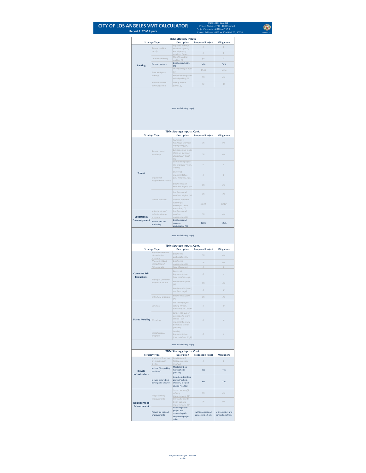## **CITY OF LOS ANGELES VMT CALCULATOR Report 2: TDM Inputs**

 $\bigcirc$ Date: April 29, 2021<br>
Project Name: 11780 - 1000 Seward<br>
Project Scenario: ALTERNATIVE 3<br>
Project Address: *6565* W ROMAINE 5T, 90038<br>
Version 1.3

April 29, 2021 J1780 ‐ 1000 Seward ALTERNATIVE 3 6565 W ROMAINE ST, 90038

|                                          |                                                | <b>TDM Strategy Inputs</b>                                                                           |                                           |                                           |
|------------------------------------------|------------------------------------------------|------------------------------------------------------------------------------------------------------|-------------------------------------------|-------------------------------------------|
|                                          | <b>Strategy Type</b>                           | <b>Description</b><br>City code parkin                                                               | <b>Proposed Project</b>                   | <b>Mitigations</b>                        |
|                                          | Reduce parking<br>supply                       | provision (spaces)<br>Actual parking                                                                 | $\cal O$                                  | $\cal O$                                  |
|                                          |                                                | provision (spaces)<br>Monthly cost for                                                               | $\theta$                                  | $\theta$                                  |
|                                          | Unbundle parking                               | parking (\$)<br><b>Employees eligible</b>                                                            | \$0<br>30%                                | \$0                                       |
| <b>Parking</b>                           | Parking cash-out                               | (%)<br>Daily parking charge                                                                          |                                           | 30%                                       |
|                                          | Price workplace                                | (5)                                                                                                  | \$0.00                                    | \$0.00                                    |
|                                          | parking                                        | Employees subject to<br>priced parking (%)                                                           | 0%                                        | 0%                                        |
|                                          | Residential area<br>parking permits            | Cost of annual<br>permit (\$)                                                                        | 50                                        | 50                                        |
|                                          |                                                | (cont. on following page)                                                                            |                                           |                                           |
|                                          | <b>Strategy Type</b>                           | <b>TDM Strategy Inputs, Cont.</b><br><b>Description</b>                                              | <b>Proposed Project</b>                   | <b>Mitigations</b>                        |
|                                          |                                                | Reduction in<br>headways (Increase<br>In frequency) (%)                                              | 0%                                        | 0%                                        |
|                                          | Reduce transit<br>headways                     | Existing transit mode<br>share (as a percent<br>of total daily trips)<br>(%)                         | 0%                                        | 0%                                        |
| <b>Transit</b>                           |                                                | Lines within project<br>site improved (<50%,<br>$>=50%$                                              | $\theta$                                  | $\overline{O}$                            |
|                                          | <i>Implement</i><br>neighborhood shuttle       | Degree of<br><i>implementation</i><br>(low, medium, high)                                            | 0                                         | 0                                         |
|                                          |                                                | Employees and<br>residents eligible (%)<br>Employees and                                             | 0%                                        | 0%                                        |
|                                          |                                                | residents eligible (%)                                                                               | 0%                                        | 0%                                        |
|                                          | Transit subsidies                              | Amount of transit<br>subsidy per<br>passenger (daily<br>equivalent) (\$)                             | 50.00                                     | \$0.00                                    |
| <b>Education &amp;</b>                   | Voluntary travel<br>behavior change<br>program | Employees and<br>residents                                                                           | O%                                        | 0%                                        |
| Encouragement                            | Promotions and<br>marketing                    | participating (%)<br><b>Employees and</b><br>residents                                               | 100%                                      | 100%                                      |
|                                          | <b>Strategy Type</b>                           | TDM Strategy Inputs, Cont.<br><b>Description</b>                                                     | <b>Proposed Project</b>                   | <b>Mitigations</b>                        |
|                                          | Required commute<br>trip reduction             | Employees<br>participating (%)                                                                       | 0%                                        | 0%                                        |
|                                          | program<br>Alternative Work                    | Employees                                                                                            | 0%                                        | 0%                                        |
|                                          | Schedules and<br>Telecommute                   | participating (%)<br>Type of program                                                                 | ${\cal O}$                                | $\cal O$                                  |
| <b>Commute Trip</b><br><b>Reductions</b> | Employer sponsored                             | Degree of<br><i>implementation</i><br>(low, medlum, high)                                            | $\theta$                                  | $\theta$                                  |
|                                          | vanpool or shuttle                             | Employees eligible<br>(%)                                                                            | 0%                                        | 0%                                        |
|                                          |                                                | Employer size (small,                                                                                | $\theta$                                  | $\theta$                                  |
|                                          |                                                | medium, large)<br>Employees eligible                                                                 |                                           |                                           |
|                                          | Ride-share program                             | (%)                                                                                                  | 0%                                        | 0%                                        |
|                                          | Car share                                      | Car share project<br>setting (Urban,<br>Suburban, All Other)                                         | 0                                         | 0                                         |
| <b>Shared Mobility Bike share</b>        |                                                | Within 600 feet of<br>existing bike share<br>station - OR-<br>Implementing new<br>bike share station | $\theta$                                  |                                           |
|                                          |                                                |                                                                                                      |                                           | $\theta$                                  |
|                                          | School carpool<br>program                      | (Yes/No)<br>Level of<br><i>Implementation</i>                                                        | $\cal O$                                  | $\mathcal{O}$                             |
|                                          |                                                | (Low, Medium, High)<br>(cont. on following page)                                                     |                                           |                                           |
|                                          |                                                | TDM Strategy Inputs, Cont.                                                                           |                                           |                                           |
|                                          | <b>Strategy Type</b><br>Implement/Improve      | <b>Description</b><br>Provide bicycle                                                                | <b>Proposed Project</b>                   | <b>Mitigations</b>                        |
|                                          | on-street bicycle<br>facility                  | facility along site<br>(Yes/No)                                                                      | $\theta$                                  | $\Omega$                                  |
| <b>Bicycle</b><br>Infrastructure         | Include Bike parking<br>per LAMC               | Meets City Bike<br><b>Parking Code</b><br>(Yes/No)                                                   | Yes                                       | Yes                                       |
|                                          | Include secure bike<br>parking and showers     | Includes indoor bike<br>parking/lockers,<br>showers, & repair<br>station (Yes/No)                    | Yes                                       | Yes                                       |
|                                          |                                                | Streets with traffic<br>calming                                                                      | 0%                                        | 0%                                        |
| Neighborhood                             | Traffic calming<br><i>improvements</i>         | Improvements (%)<br>Intersections with<br>traffic calming                                            | 0%                                        | 0%                                        |
| <b>Enhancement</b>                       | Pedestrian network<br>improvements             | Improvements (%)<br>Included (within<br>project and<br>connecting off-<br>site/within project        | within project and<br>connecting off-site | within project and<br>connecting off-site |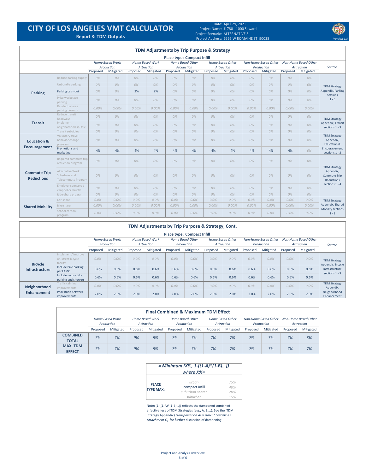## **CITY OF LOS ANGELES VMT CALCULATOR**

Date: April 29, 2021 Project Name: J1780 ‐ 1000 Seward Project Scenario: ALTERNATIVE 3 Project Address: **Report 3: TDM Outputs** *Version 1.3* 6565 W ROMAINE ST, 90038

|                                          |                                                          |          |                                                                                     |          | <b>TDM Adjustments by Trip Purpose &amp; Strategy</b> |                                       |                                   |          |                                                                                    |          |                                           |          |           |                                                                                    |
|------------------------------------------|----------------------------------------------------------|----------|-------------------------------------------------------------------------------------|----------|-------------------------------------------------------|---------------------------------------|-----------------------------------|----------|------------------------------------------------------------------------------------|----------|-------------------------------------------|----------|-----------|------------------------------------------------------------------------------------|
|                                          |                                                          |          |                                                                                     |          |                                                       |                                       | <b>Place type: Compact Infill</b> |          |                                                                                    |          |                                           |          |           |                                                                                    |
|                                          |                                                          |          | <b>Home Based Work</b><br><b>Home Based Work</b><br>Production<br><b>Attraction</b> |          |                                                       | <b>Home Based Other</b><br>Production |                                   |          | <b>Home Based Other</b><br><b>Non-Home Based Other</b><br>Production<br>Attraction |          | <b>Non-Home Based Other</b><br>Attraction |          | Source    |                                                                                    |
|                                          |                                                          | Proposed | Mitigated                                                                           | Proposed | Mitigated                                             | Proposed                              | Mitigated                         | Proposed | Mitigated                                                                          | Proposed | Mitigated                                 | Proposed | Mitigated |                                                                                    |
|                                          | Reduce parking supply                                    | 0%       | 0%                                                                                  | 0%       | 0%                                                    | 0%                                    | 0%                                | 0%       | 0%                                                                                 | 0%       | 0%                                        | 0%       | 0%        |                                                                                    |
|                                          | Unbundle parking                                         | 0%       | 0%                                                                                  | 0%       | 0%                                                    | 0%                                    | 0%                                | 0%       | 0%                                                                                 | 0%       | 0%                                        | 0%       | 0%        | <b>TDM Strategy</b>                                                                |
| <b>Parking</b>                           | Parking cash-out                                         | 0%       | 0%                                                                                  | 2%       | 2%                                                    | 0%                                    | 0%                                | 0%       | 0%                                                                                 | 0%       | 0%                                        | 0%       | 0%        | Appendix, Parking<br>sections                                                      |
|                                          | Price workplace<br>parking                               | 0%       | 0%                                                                                  | 0%       | 0%                                                    | 0%                                    | 0%                                | 0%       | 0%                                                                                 | 0%       | 0%                                        | 0%       | 0%        | $1 - 5$                                                                            |
|                                          | Residential area<br>parking permits                      | 0.00%    | 0.00%                                                                               | $0.00\%$ | 0.00%                                                 | 0.00%                                 | 0.00%                             | 0.00%    | $0.00\%$                                                                           | 0.00%    | 0.00%                                     | 0.00%    | 0.00%     |                                                                                    |
|                                          | Reduce transit<br>headways                               | 0%       | 0%                                                                                  | 0%       | 0%                                                    | 0%                                    | 0%                                | 0%       | 0%                                                                                 | 0%       | 0%                                        | 0%       | 0%        | <b>TDM Strategy</b>                                                                |
| <b>Transit</b>                           | Implement<br>neighborhood shuttle                        | 0%       | 0%                                                                                  | 0%       | 0%                                                    | 0%                                    | 0%                                | 0%       | 0%                                                                                 | 0%       | 0%                                        | 0%       | 0%        | Appendix, Transit<br>sections $1 - 3$                                              |
|                                          | Transit subsidies                                        | 0%       | 0%                                                                                  | 0%       | 0%                                                    | 0%                                    | 0%                                | 0%       | 0%                                                                                 | 0%       | 0%                                        | 0%       | 0%        |                                                                                    |
| <b>Education &amp;</b>                   | Voluntary travel<br>behavior change<br>program           | 0%       | 0%                                                                                  | 0%       | 0%                                                    | 0%                                    | 0%                                | 0%       | 0%                                                                                 | 0%       | 0%                                        | 0%       | 0%        | <b>TDM Strategy</b><br>Appendix,<br>Education &<br>Encouragement<br>sections 1 - 2 |
| <b>Encouragement</b>                     | Promotions and<br>marketing                              | 4%       | 4%                                                                                  | 4%       | 4%                                                    | 4%                                    | 4%                                | 4%       | 4%                                                                                 | 4%       | 4%                                        | 4%       | 0%        |                                                                                    |
|                                          | Required commute trip<br>reduction program               | 0%       | 0%                                                                                  | 0%       | 0%                                                    | 0%                                    | 0%                                | 0%       | 0%                                                                                 | 0%       | 0%                                        | 0%       | 0%        | <b>TDM Strategy</b>                                                                |
| <b>Commute Trip</b><br><b>Reductions</b> | Alternative Work<br>Schedules and<br>Telecommute Program | 0%       | 0%                                                                                  | 0%       | 0%                                                    | 0%                                    | 0%                                | 0%       | 0%                                                                                 | 0%       | 0%                                        | 0%       | 0%        | Appendix,<br><b>Commute Trip</b><br><b>Reductions</b>                              |
|                                          | Employer sponsored<br>vanpool or shuttle                 | 0%       | 0%                                                                                  | 0%       | 0%                                                    | 0%                                    | 0%                                | 0%       | 0%                                                                                 | 0%       | 0%                                        | 0%       | 0%        | sections 1 - 4                                                                     |
|                                          | Ride-share program                                       | 0%       | 0%                                                                                  | 0%       | 0%                                                    | 0%                                    | 0%                                | 0%       | 0%                                                                                 | 0%       | 0%                                        | 0%       | 0%        |                                                                                    |
|                                          | Car-share                                                | $0.0\%$  | $0.0\%$                                                                             | 0.0%     | $0.0\%$                                               | $0.0\%$                               | 0.0%                              | 0.0%     | 0.0%                                                                               | $0.0\%$  | $0.0\%$                                   | 0.0%     | 0.0%      | <b>TDM Strategy</b>                                                                |
| <b>Shared Mobility</b>                   | Bike share                                               | $0.00\%$ | $0.00\%$                                                                            | $0.00\%$ | 0.00%                                                 | 0.00%                                 | $0.00\%$                          | $0.00\%$ | $0.00\%$                                                                           | 0.00%    | 0.00%                                     | $0.00\%$ | 0.00%     | Appendix, Shared                                                                   |
|                                          | School carpool<br>program                                | $0.0\%$  | $0.0\%$                                                                             | 0.0%     | $0.0\%$                                               | $0.0\%$                               | $0.0\%$                           | $0.0\%$  | 0.0%                                                                               | $0.0\%$  | $0.0\%$                                   | $0.0\%$  | $0.0\%$   | Mobility sections<br>$1 - 3$                                                       |

|                                   | TDM Adjustments by Trip Purpose & Strategy, Cont.  |          |                        |          |                        |          |                         |          |                         |          |                      |          |                      |                                          |
|-----------------------------------|----------------------------------------------------|----------|------------------------|----------|------------------------|----------|-------------------------|----------|-------------------------|----------|----------------------|----------|----------------------|------------------------------------------|
| <b>Place type: Compact Infill</b> |                                                    |          |                        |          |                        |          |                         |          |                         |          |                      |          |                      |                                          |
|                                   |                                                    |          | <b>Home Based Work</b> |          | <b>Home Based Work</b> |          | <b>Home Based Other</b> |          | <b>Home Based Other</b> |          | Non-Home Based Other |          | Non-Home Based Other |                                          |
|                                   |                                                    |          | Production             |          | Attraction             |          | Production              |          | Attraction              |          | Production           |          | Attraction           | Source                                   |
|                                   |                                                    | Proposed | Mitigated              | Proposed | Mitigated              | Proposed | Mitigated               | Proposed | Mitigated               | Proposed | Mitigated            | Proposed | Mitigated            |                                          |
| <b>Bicycle</b>                    | Implement/Improve<br>on-street bicycle<br>facility | 0.0%     | 0.0%                   | 0.0%     | 0.0%                   | 0.0%     | $0.0\%$                 | 0.0%     | 0.0%                    | 0.0%     | 0.0%                 | 0.0%     | $0.0\%$              | <b>TDM Strategy</b><br>Appendix, Bicycle |
| <b>Infrastructure</b>             | Include Bike parking<br>per LAMC                   | 0.6%     | 0.6%                   | 0.6%     | 0.6%                   | 0.6%     | 0.6%                    | 0.6%     | 0.6%                    | 0.6%     | 0.6%                 | 0.6%     | 0.6%                 | Infrastructure<br>sections $1 - 3$       |
|                                   | Include secure bike<br>parking and showers         | 0.6%     | 0.6%                   | 0.6%     | 0.6%                   | 0.6%     | 0.6%                    | 0.6%     | 0.6%                    | 0.6%     | 0.6%                 | 0.6%     | 0.6%                 |                                          |
| Neighborhood                      | Traffic calming<br><i>improvements</i>             | 0.0%     | 0.0%                   | 0.0%     | $0.0\%$                | $0.0\%$  | $0.0\%$                 | $0.0\%$  | $0.0\%$                 | $0.0\%$  | 0.0%                 | 0.0%     | $0.0\%$              | <b>TDM Strategy</b><br>Appendix,         |
| <b>Enhancement</b>                | Pedestrian network<br>improvements                 | 2.0%     | 2.0%                   | 2.0%     | 2.0%                   | 2.0%     | 2.0%                    | 2.0%     | 2.0%                    | 2.0%     | 2.0%                 | 2.0%     | 2.0%                 | Neighborhood<br>Enhancement              |

| <b>Final Combined &amp; Maximum TDM Effect</b> |          |                                      |                                      |           |          |                                |            |                         |            |                      |            |                      |
|------------------------------------------------|----------|--------------------------------------|--------------------------------------|-----------|----------|--------------------------------|------------|-------------------------|------------|----------------------|------------|----------------------|
|                                                |          | <b>Home Based Work</b><br>Production | <b>Home Based Work</b><br>Attraction |           |          | Home Based Other<br>Production | Attraction | <b>Home Based Other</b> | Production | Non-Home Based Other | Attraction | Non-Home Based Other |
|                                                | Proposed | Mitigated                            | Proposed                             | Mitigated | Proposed | Mitigated                      | Proposed   | Mitigated               | Proposed   | Mitigated            | Proposed   | Mitigated            |
| <b>COMBINED</b><br><b>TOTAL</b>                | 7%       | 7%                                   | 9%                                   | 9%        | 7%       | 7%                             | 7%         | 7%                      | 7%         | 7%                   | 7%         | 3%                   |
| <b>MAX. TDM</b><br><b>EFFECT</b>               | 7%       | 7%                                   | 9%                                   | 9%        | 7%       | 7%                             | 7%         | 7%                      | 7%         | 7%                   | 7%         | 7%                   |

|                                  | = Minimum $(X\%, 1-[1-A)*1-B)]$<br>where $X\% =$ |                   |
|----------------------------------|--------------------------------------------------|-------------------|
| <b>PLACE</b><br><b>TYPF MAX:</b> | urhan<br>compact infill<br>suburban center       | 75%<br>40%<br>20% |
|                                  | suburban                                         | 15%               |

Note: (1‐[(1‐A)\*(1‐B)…]) reflects the dampened combined effectiveness of TDM Strategies (e.g., A, B,...). See the TDM Strategy Appendix (*Transportation Assessment Guidelines Attachment G)* for further discussion of dampening.

> Project and Analysis Overview 5 of 6